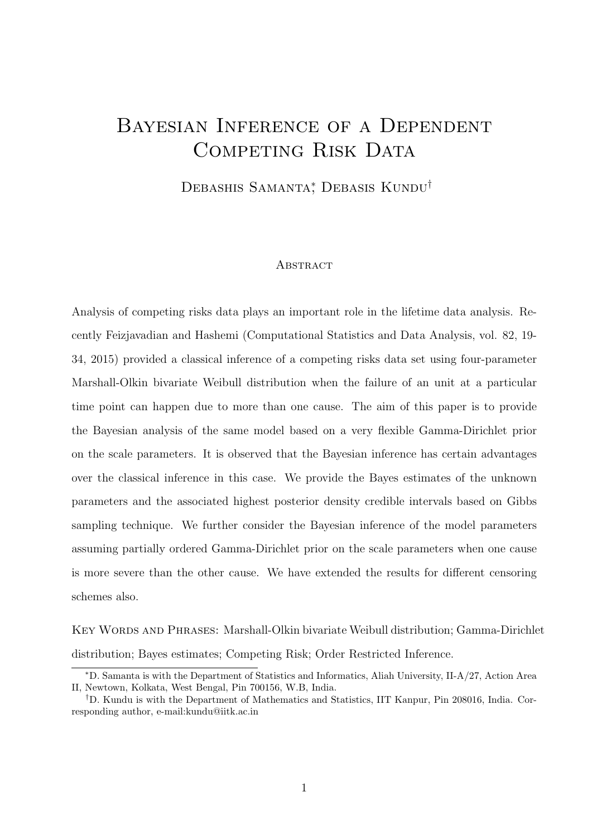## Bayesian Inference of a Dependent COMPETING RISK DATA

Debashis Samanta<sup>\*</sup>, Debasis Kundu<sup>†</sup>

#### **ABSTRACT**

Analysis of competing risks data plays an important role in the lifetime data analysis. Recently Feizjavadian and Hashemi (Computational Statistics and Data Analysis, vol. 82, 19- 34, 2015) provided a classical inference of a competing risks data set using four-parameter Marshall-Olkin bivariate Weibull distribution when the failure of an unit at a particular time point can happen due to more than one cause. The aim of this paper is to provide the Bayesian analysis of the same model based on a very flexible Gamma-Dirichlet prior on the scale parameters. It is observed that the Bayesian inference has certain advantages over the classical inference in this case. We provide the Bayes estimates of the unknown parameters and the associated highest posterior density credible intervals based on Gibbs sampling technique. We further consider the Bayesian inference of the model parameters assuming partially ordered Gamma-Dirichlet prior on the scale parameters when one cause is more severe than the other cause. We have extended the results for different censoring schemes also.

Key Words and Phrases: Marshall-Olkin bivariate Weibull distribution; Gamma-Dirichlet distribution; Bayes estimates; Competing Risk; Order Restricted Inference.

<sup>∗</sup>D. Samanta is with the Department of Statistics and Informatics, Aliah University, II-A/27, Action Area II, Newtown, Kolkata, West Bengal, Pin 700156, W.B, India.

<sup>†</sup>D. Kundu is with the Department of Mathematics and Statistics, IIT Kanpur, Pin 208016, India. Corresponding author, e-mail:kundu@iitk.ac.in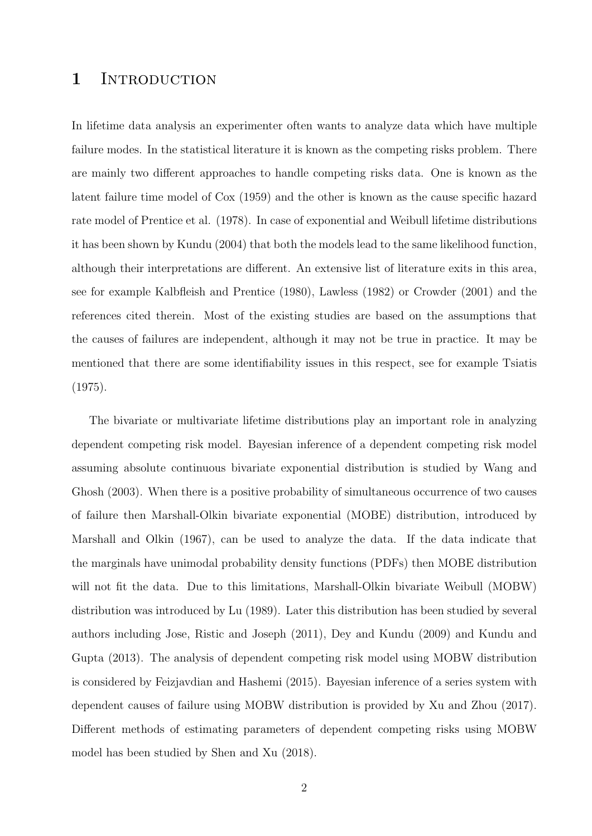### 1 INTRODUCTION

In lifetime data analysis an experimenter often wants to analyze data which have multiple failure modes. In the statistical literature it is known as the competing risks problem. There are mainly two different approaches to handle competing risks data. One is known as the latent failure time model of Cox (1959) and the other is known as the cause specific hazard rate model of Prentice et al. (1978). In case of exponential and Weibull lifetime distributions it has been shown by Kundu (2004) that both the models lead to the same likelihood function, although their interpretations are different. An extensive list of literature exits in this area, see for example Kalbfleish and Prentice (1980), Lawless (1982) or Crowder (2001) and the references cited therein. Most of the existing studies are based on the assumptions that the causes of failures are independent, although it may not be true in practice. It may be mentioned that there are some identifiability issues in this respect, see for example Tsiatis (1975).

The bivariate or multivariate lifetime distributions play an important role in analyzing dependent competing risk model. Bayesian inference of a dependent competing risk model assuming absolute continuous bivariate exponential distribution is studied by Wang and Ghosh (2003). When there is a positive probability of simultaneous occurrence of two causes of failure then Marshall-Olkin bivariate exponential (MOBE) distribution, introduced by Marshall and Olkin (1967), can be used to analyze the data. If the data indicate that the marginals have unimodal probability density functions (PDFs) then MOBE distribution will not fit the data. Due to this limitations, Marshall-Olkin bivariate Weibull (MOBW) distribution was introduced by Lu (1989). Later this distribution has been studied by several authors including Jose, Ristic and Joseph (2011), Dey and Kundu (2009) and Kundu and Gupta (2013). The analysis of dependent competing risk model using MOBW distribution is considered by Feizjavdian and Hashemi (2015). Bayesian inference of a series system with dependent causes of failure using MOBW distribution is provided by Xu and Zhou (2017). Different methods of estimating parameters of dependent competing risks using MOBW model has been studied by Shen and Xu (2018).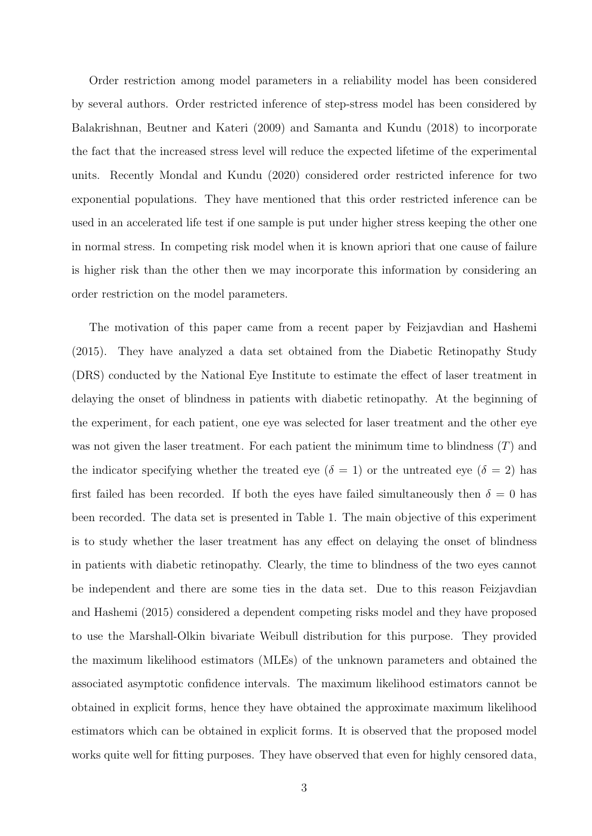Order restriction among model parameters in a reliability model has been considered by several authors. Order restricted inference of step-stress model has been considered by Balakrishnan, Beutner and Kateri (2009) and Samanta and Kundu (2018) to incorporate the fact that the increased stress level will reduce the expected lifetime of the experimental units. Recently Mondal and Kundu (2020) considered order restricted inference for two exponential populations. They have mentioned that this order restricted inference can be used in an accelerated life test if one sample is put under higher stress keeping the other one in normal stress. In competing risk model when it is known apriori that one cause of failure is higher risk than the other then we may incorporate this information by considering an order restriction on the model parameters.

The motivation of this paper came from a recent paper by Feizjavdian and Hashemi (2015). They have analyzed a data set obtained from the Diabetic Retinopathy Study (DRS) conducted by the National Eye Institute to estimate the effect of laser treatment in delaying the onset of blindness in patients with diabetic retinopathy. At the beginning of the experiment, for each patient, one eye was selected for laser treatment and the other eye was not given the laser treatment. For each patient the minimum time to blindness  $(T)$  and the indicator specifying whether the treated eye ( $\delta = 1$ ) or the untreated eye ( $\delta = 2$ ) has first failed has been recorded. If both the eyes have failed simultaneously then  $\delta = 0$  has been recorded. The data set is presented in Table 1. The main objective of this experiment is to study whether the laser treatment has any effect on delaying the onset of blindness in patients with diabetic retinopathy. Clearly, the time to blindness of the two eyes cannot be independent and there are some ties in the data set. Due to this reason Feizjavdian and Hashemi (2015) considered a dependent competing risks model and they have proposed to use the Marshall-Olkin bivariate Weibull distribution for this purpose. They provided the maximum likelihood estimators (MLEs) of the unknown parameters and obtained the associated asymptotic confidence intervals. The maximum likelihood estimators cannot be obtained in explicit forms, hence they have obtained the approximate maximum likelihood estimators which can be obtained in explicit forms. It is observed that the proposed model works quite well for fitting purposes. They have observed that even for highly censored data,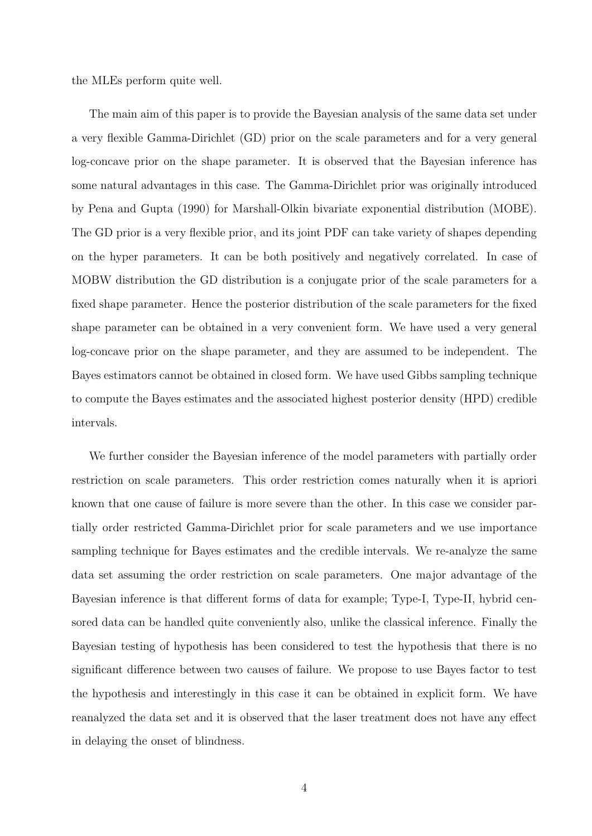the MLEs perform quite well.

The main aim of this paper is to provide the Bayesian analysis of the same data set under a very flexible Gamma-Dirichlet (GD) prior on the scale parameters and for a very general log-concave prior on the shape parameter. It is observed that the Bayesian inference has some natural advantages in this case. The Gamma-Dirichlet prior was originally introduced by Pena and Gupta (1990) for Marshall-Olkin bivariate exponential distribution (MOBE). The GD prior is a very flexible prior, and its joint PDF can take variety of shapes depending on the hyper parameters. It can be both positively and negatively correlated. In case of MOBW distribution the GD distribution is a conjugate prior of the scale parameters for a fixed shape parameter. Hence the posterior distribution of the scale parameters for the fixed shape parameter can be obtained in a very convenient form. We have used a very general log-concave prior on the shape parameter, and they are assumed to be independent. The Bayes estimators cannot be obtained in closed form. We have used Gibbs sampling technique to compute the Bayes estimates and the associated highest posterior density (HPD) credible intervals.

We further consider the Bayesian inference of the model parameters with partially order restriction on scale parameters. This order restriction comes naturally when it is apriori known that one cause of failure is more severe than the other. In this case we consider partially order restricted Gamma-Dirichlet prior for scale parameters and we use importance sampling technique for Bayes estimates and the credible intervals. We re-analyze the same data set assuming the order restriction on scale parameters. One major advantage of the Bayesian inference is that different forms of data for example; Type-I, Type-II, hybrid censored data can be handled quite conveniently also, unlike the classical inference. Finally the Bayesian testing of hypothesis has been considered to test the hypothesis that there is no significant difference between two causes of failure. We propose to use Bayes factor to test the hypothesis and interestingly in this case it can be obtained in explicit form. We have reanalyzed the data set and it is observed that the laser treatment does not have any effect in delaying the onset of blindness.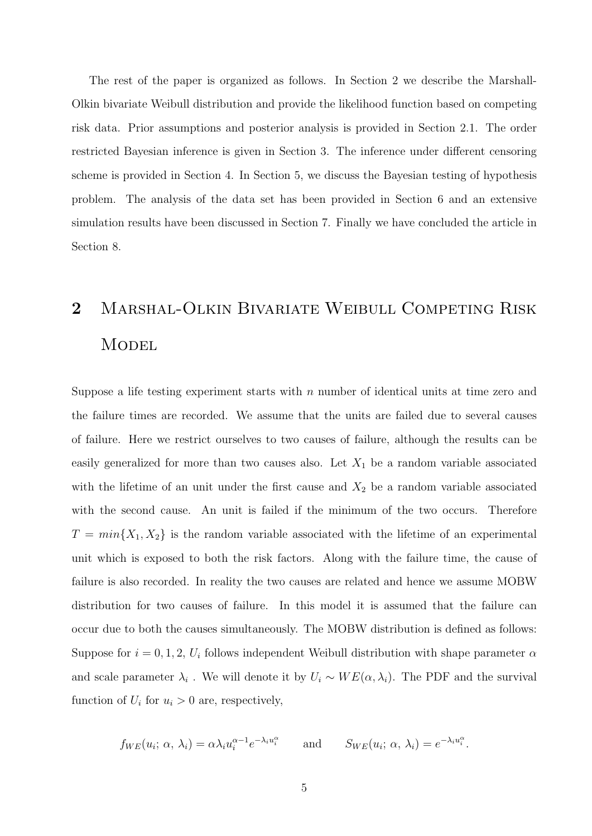The rest of the paper is organized as follows. In Section 2 we describe the Marshall-Olkin bivariate Weibull distribution and provide the likelihood function based on competing risk data. Prior assumptions and posterior analysis is provided in Section 2.1. The order restricted Bayesian inference is given in Section 3. The inference under different censoring scheme is provided in Section 4. In Section 5, we discuss the Bayesian testing of hypothesis problem. The analysis of the data set has been provided in Section 6 and an extensive simulation results have been discussed in Section 7. Finally we have concluded the article in Section 8.

# 2 Marshal-Olkin Bivariate Weibull Competing Risk **MODEL**

Suppose a life testing experiment starts with  $n$  number of identical units at time zero and the failure times are recorded. We assume that the units are failed due to several causes of failure. Here we restrict ourselves to two causes of failure, although the results can be easily generalized for more than two causes also. Let  $X_1$  be a random variable associated with the lifetime of an unit under the first cause and  $X_2$  be a random variable associated with the second cause. An unit is failed if the minimum of the two occurs. Therefore  $T = min{X_1, X_2}$  is the random variable associated with the lifetime of an experimental unit which is exposed to both the risk factors. Along with the failure time, the cause of failure is also recorded. In reality the two causes are related and hence we assume MOBW distribution for two causes of failure. In this model it is assumed that the failure can occur due to both the causes simultaneously. The MOBW distribution is defined as follows: Suppose for  $i = 0, 1, 2, U_i$  follows independent Weibull distribution with shape parameter  $\alpha$ and scale parameter  $\lambda_i$ . We will denote it by  $U_i \sim WE(\alpha, \lambda_i)$ . The PDF and the survival function of  $U_i$  for  $u_i > 0$  are, respectively,

$$
f_{WE}(u_i; \alpha, \lambda_i) = \alpha \lambda_i u_i^{\alpha-1} e^{-\lambda_i u_i^{\alpha}}
$$
 and  $S_{WE}(u_i; \alpha, \lambda_i) = e^{-\lambda_i u_i^{\alpha}}$ .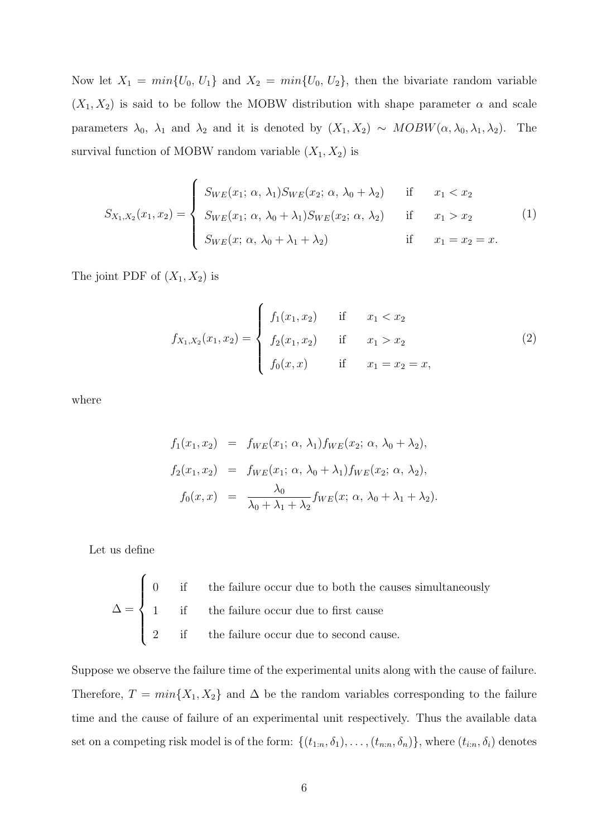Now let  $X_1 = min{U_0, U_1}$  and  $X_2 = min{U_0, U_2}$ , then the bivariate random variable  $(X_1, X_2)$  is said to be follow the MOBW distribution with shape parameter  $\alpha$  and scale parameters  $\lambda_0$ ,  $\lambda_1$  and  $\lambda_2$  and it is denoted by  $(X_1, X_2) \sim MOBW(\alpha, \lambda_0, \lambda_1, \lambda_2)$ . The survival function of MOBW random variable  $(X_1, X_2)$  is

$$
S_{X_1,X_2}(x_1,x_2) = \begin{cases} S_{WE}(x_1; \alpha, \lambda_1) S_{WE}(x_2; \alpha, \lambda_0 + \lambda_2) & \text{if } x_1 < x_2 \\ S_{WE}(x_1; \alpha, \lambda_0 + \lambda_1) S_{WE}(x_2; \alpha, \lambda_2) & \text{if } x_1 > x_2 \\ S_{WE}(x; \alpha, \lambda_0 + \lambda_1 + \lambda_2) & \text{if } x_1 = x_2 = x. \end{cases}
$$
(1)

The joint PDF of  $(X_1, X_2)$  is

$$
f_{X_1,X_2}(x_1,x_2) = \begin{cases} f_1(x_1,x_2) & \text{if } x_1 < x_2 \\ f_2(x_1,x_2) & \text{if } x_1 > x_2 \\ f_0(x,x) & \text{if } x_1 = x_2 = x, \end{cases}
$$
 (2)

where

$$
f_1(x_1, x_2) = f_{WE}(x_1; \alpha, \lambda_1) f_{WE}(x_2; \alpha, \lambda_0 + \lambda_2),
$$
  
\n
$$
f_2(x_1, x_2) = f_{WE}(x_1; \alpha, \lambda_0 + \lambda_1) f_{WE}(x_2; \alpha, \lambda_2),
$$
  
\n
$$
f_0(x, x) = \frac{\lambda_0}{\lambda_0 + \lambda_1 + \lambda_2} f_{WE}(x; \alpha, \lambda_0 + \lambda_1 + \lambda_2).
$$

Let us define

$$
\Delta = \begin{cases}\n0 & \text{if } \text{ the failure occur due to both the causes simultaneously} \\
1 & \text{if } \text{ the failure occur due to first cause} \\
2 & \text{if } \text{ the failure occur due to second cause.} \\
\end{cases}
$$

Suppose we observe the failure time of the experimental units along with the cause of failure. Therefore,  $T = min{X_1, X_2}$  and  $\Delta$  be the random variables corresponding to the failure time and the cause of failure of an experimental unit respectively. Thus the available data set on a competing risk model is of the form:  $\{(t_{1:n}, \delta_1), \ldots, (t_{n:n}, \delta_n)\}\$ , where  $(t_{i:n}, \delta_i)$  denotes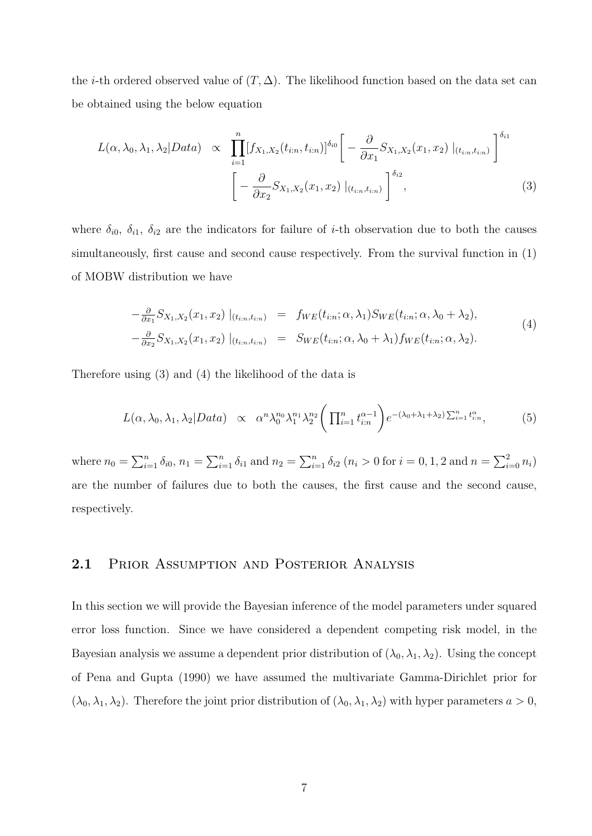the *i*-th ordered observed value of  $(T, \Delta)$ . The likelihood function based on the data set can be obtained using the below equation

$$
L(\alpha, \lambda_0, \lambda_1, \lambda_2 | Data) \propto \prod_{i=1}^n [f_{X_1, X_2}(t_{i:n}, t_{i:n})]^{\delta_{i0}} \left[ -\frac{\partial}{\partial x_1} S_{X_1, X_2}(x_1, x_2) \big|_{(t_{i:n}, t_{i:n})} \right]^{\delta_{i1}} \left[ -\frac{\partial}{\partial x_2} S_{X_1, X_2}(x_1, x_2) \big|_{(t_{i:n}, t_{i:n})} \right]^{\delta_{i2}}, \tag{3}
$$

where  $\delta_{i0}$ ,  $\delta_{i1}$ ,  $\delta_{i2}$  are the indicators for failure of *i*-th observation due to both the causes simultaneously, first cause and second cause respectively. From the survival function in (1) of MOBW distribution we have

$$
-\frac{\partial}{\partial x_1} S_{X_1,X_2}(x_1,x_2) |_{(t_{i:n},t_{i:n})} = f_{WE}(t_{i:n}; \alpha, \lambda_1) S_{WE}(t_{i:n}; \alpha, \lambda_0 + \lambda_2),
$$
  

$$
-\frac{\partial}{\partial x_2} S_{X_1,X_2}(x_1,x_2) |_{(t_{i:n},t_{i:n})} = S_{WE}(t_{i:n}; \alpha, \lambda_0 + \lambda_1) f_{WE}(t_{i:n}; \alpha, \lambda_2).
$$
  
(4)

Therefore using (3) and (4) the likelihood of the data is

$$
L(\alpha, \lambda_0, \lambda_1, \lambda_2 | Data) \propto \alpha^n \lambda_0^{n_0} \lambda_1^{n_1} \lambda_2^{n_2} \left( \prod_{i=1}^n t_{i:n}^{\alpha-1} \right) e^{-(\lambda_0 + \lambda_1 + \lambda_2) \sum_{i=1}^n t_{i:n}^{\alpha}}, \tag{5}
$$

where  $n_0 = \sum_{i=1}^n \delta_{i0}, n_1 = \sum_{i=1}^n \delta_{i1}$  and  $n_2 = \sum_{i=1}^n \delta_{i2}$   $(n_i > 0$  for  $i = 0, 1, 2$  and  $n = \sum_{i=0}^2 n_i$ are the number of failures due to both the causes, the first cause and the second cause, respectively.

#### 2.1 PRIOR ASSUMPTION AND POSTERIOR ANALYSIS

In this section we will provide the Bayesian inference of the model parameters under squared error loss function. Since we have considered a dependent competing risk model, in the Bayesian analysis we assume a dependent prior distribution of  $(\lambda_0, \lambda_1, \lambda_2)$ . Using the concept of Pena and Gupta (1990) we have assumed the multivariate Gamma-Dirichlet prior for  $(\lambda_0, \lambda_1, \lambda_2)$ . Therefore the joint prior distribution of  $(\lambda_0, \lambda_1, \lambda_2)$  with hyper parameters  $a > 0$ ,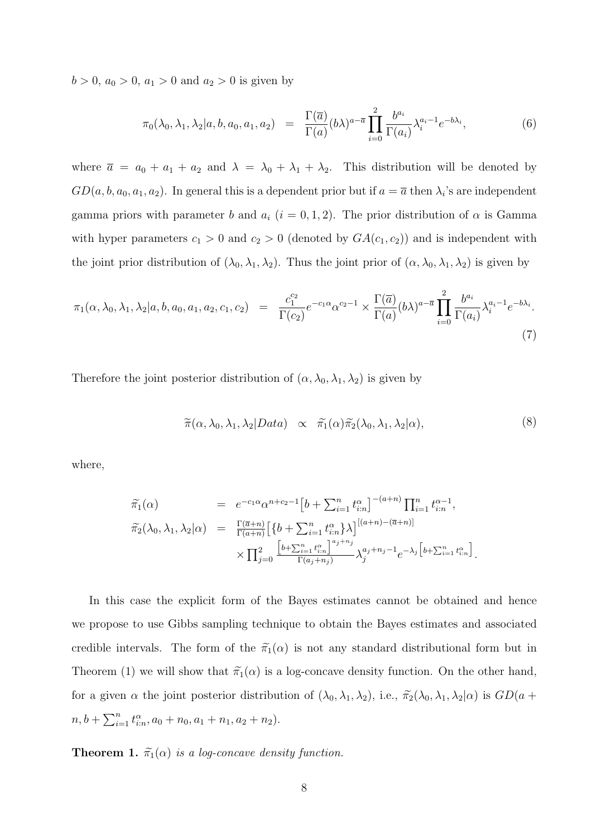$b > 0$ ,  $a_0 > 0$ ,  $a_1 > 0$  and  $a_2 > 0$  is given by

$$
\pi_0(\lambda_0, \lambda_1, \lambda_2 | a, b, a_0, a_1, a_2) = \frac{\Gamma(\overline{a})}{\Gamma(a)} (b\lambda)^{a-\overline{a}} \prod_{i=0}^2 \frac{b^{a_i}}{\Gamma(a_i)} \lambda_i^{a_i-1} e^{-b\lambda_i}, \tag{6}
$$

where  $\bar{a} = a_0 + a_1 + a_2$  and  $\lambda = \lambda_0 + \lambda_1 + \lambda_2$ . This distribution will be denoted by  $GD(a, b, a_0, a_1, a_2)$ . In general this is a dependent prior but if  $a = \overline{a}$  then  $\lambda_i$ 's are independent gamma priors with parameter b and  $a_i$  (i = 0, 1, 2). The prior distribution of  $\alpha$  is Gamma with hyper parameters  $c_1 > 0$  and  $c_2 > 0$  (denoted by  $GA(c_1, c_2)$ ) and is independent with the joint prior distribution of  $(\lambda_0, \lambda_1, \lambda_2)$ . Thus the joint prior of  $(\alpha, \lambda_0, \lambda_1, \lambda_2)$  is given by

$$
\pi_1(\alpha, \lambda_0, \lambda_1, \lambda_2 | a, b, a_0, a_1, a_2, c_1, c_2) = \frac{c_1^{c_2}}{\Gamma(c_2)} e^{-c_1 \alpha} \alpha^{c_2 - 1} \times \frac{\Gamma(\overline{a})}{\Gamma(a)} (b \lambda)^{a - \overline{a}} \prod_{i=0}^2 \frac{b^{a_i}}{\Gamma(a_i)} \lambda_i^{a_i - 1} e^{-b \lambda_i}.
$$
\n(7)

Therefore the joint posterior distribution of  $(\alpha, \lambda_0, \lambda_1, \lambda_2)$  is given by

$$
\widetilde{\pi}(\alpha,\lambda_0,\lambda_1,\lambda_2|Data) \propto \widetilde{\pi_1}(\alpha)\widetilde{\pi_2}(\lambda_0,\lambda_1,\lambda_2|\alpha), \tag{8}
$$

where,

$$
\tilde{\pi}_{1}(\alpha) = e^{-c_{1}\alpha} \alpha^{n+c_{2}-1} \left[b + \sum_{i=1}^{n} t_{i:n}^{\alpha}\right]^{-(a+n)} \prod_{i=1}^{n} t_{i:n}^{\alpha-1},
$$
\n
$$
\tilde{\pi}_{2}(\lambda_{0}, \lambda_{1}, \lambda_{2}|\alpha) = \frac{\Gamma(\overline{a}+n)}{\Gamma(a+n)} \left[\left\{b + \sum_{i=1}^{n} t_{i:n}^{\alpha}\right\}\lambda\right]^{[(a+n)-(\overline{a}+n)]} \times \prod_{j=0}^{2} \frac{\left[b + \sum_{i=1}^{n} t_{i:n}^{\alpha}\right]^{a_{j}+n_{j}}}{\Gamma(a_{j}+n_{j})} \lambda_{j}^{a_{j}+n_{j}-1} e^{-\lambda_{j} \left[b + \sum_{i=1}^{n} t_{i:n}^{\alpha}\right]}.
$$

In this case the explicit form of the Bayes estimates cannot be obtained and hence we propose to use Gibbs sampling technique to obtain the Bayes estimates and associated credible intervals. The form of the  $\tilde{\pi}_1(\alpha)$  is not any standard distributional form but in Theorem (1) we will show that  $\tilde{\pi}_1(\alpha)$  is a log-concave density function. On the other hand, for a given  $\alpha$  the joint posterior distribution of  $(\lambda_0, \lambda_1, \lambda_2)$ , i.e.,  $\tilde{\pi_2}(\lambda_0, \lambda_1, \lambda_2 | \alpha)$  is  $GD(a +$  $n, b + \sum_{i=1}^{n} t_{i:n}^{\alpha}, a_0 + n_0, a_1 + n_1, a_2 + n_2).$ 

**Theorem 1.**  $\tilde{\pi}_1(\alpha)$  is a log-concave density function.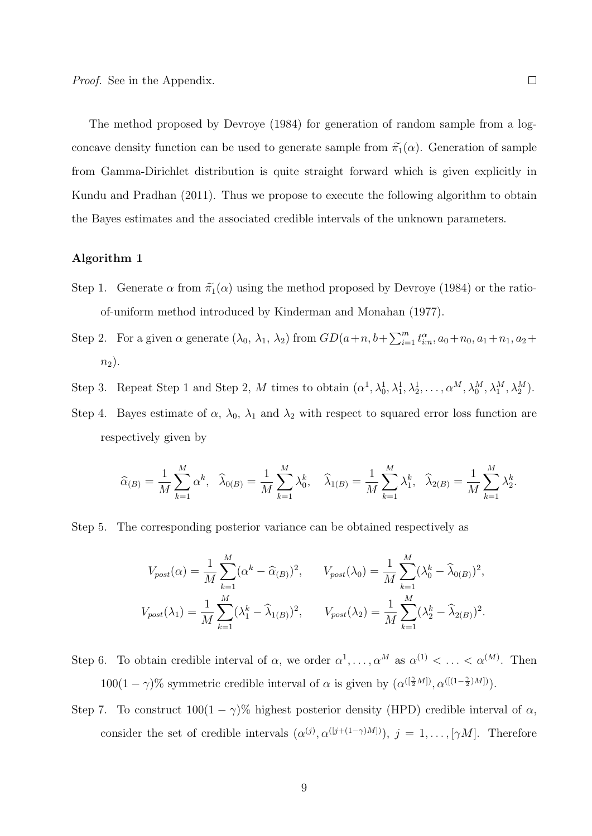The method proposed by Devroye (1984) for generation of random sample from a logconcave density function can be used to generate sample from  $\tilde{\pi}_1(\alpha)$ . Generation of sample from Gamma-Dirichlet distribution is quite straight forward which is given explicitly in Kundu and Pradhan (2011). Thus we propose to execute the following algorithm to obtain the Bayes estimates and the associated credible intervals of the unknown parameters.

#### Algorithm 1

- Step 1. Generate  $\alpha$  from  $\tilde{\pi}_1(\alpha)$  using the method proposed by Devroye (1984) or the ratioof-uniform method introduced by Kinderman and Monahan (1977).
- Step 2. For a given  $\alpha$  generate  $(\lambda_0, \lambda_1, \lambda_2)$  from  $GD(a+n, b+\sum_{i=1}^m t_{i:n}^{\alpha}, a_0+n_0, a_1+n_1, a_2+\sum_{i=1}^m t_{i:n}^{\alpha}, a_i+n_1+n_2+\sum_{i=1}^m t_{i:n}^{\alpha}, a_i+n_1+\sum_{i=1}^m t_{i:n}^{\alpha}$  $n_2$ ).
- Step 3. Repeat Step 1 and Step 2, M times to obtain  $(\alpha^1, \lambda_0^1, \lambda_1^1, \lambda_2^1, \ldots, \alpha^M, \lambda_0^M, \lambda_1^M, \lambda_2^M)$ .
- Step 4. Bayes estimate of  $\alpha$ ,  $\lambda_0$ ,  $\lambda_1$  and  $\lambda_2$  with respect to squared error loss function are respectively given by

$$
\widehat{\alpha}_{(B)} = \frac{1}{M} \sum_{k=1}^{M} \alpha^{k}, \quad \widehat{\lambda}_{0(B)} = \frac{1}{M} \sum_{k=1}^{M} \lambda_{0}^{k}, \quad \widehat{\lambda}_{1(B)} = \frac{1}{M} \sum_{k=1}^{M} \lambda_{1}^{k}, \quad \widehat{\lambda}_{2(B)} = \frac{1}{M} \sum_{k=1}^{M} \lambda_{2}^{k}.
$$

Step 5. The corresponding posterior variance can be obtained respectively as

$$
V_{post}(\alpha) = \frac{1}{M} \sum_{k=1}^{M} (\alpha^k - \widehat{\alpha}_{(B)})^2, \qquad V_{post}(\lambda_0) = \frac{1}{M} \sum_{k=1}^{M} (\lambda_0^k - \widehat{\lambda}_{0(B)})^2,
$$

$$
V_{post}(\lambda_1) = \frac{1}{M} \sum_{k=1}^{M} (\lambda_1^k - \widehat{\lambda}_{1(B)})^2, \qquad V_{post}(\lambda_2) = \frac{1}{M} \sum_{k=1}^{M} (\lambda_2^k - \widehat{\lambda}_{2(B)})^2.
$$

- Step 6. To obtain credible interval of  $\alpha$ , we order  $\alpha^1, \ldots, \alpha^M$  as  $\alpha^{(1)} < \ldots < \alpha^{(M)}$ . Then  $100(1-\gamma)\%$  symmetric credible interval of  $\alpha$  is given by  $(\alpha^{([\frac{\gamma}{2}M])}, \alpha^{([(1-\frac{\gamma}{2})M])})$ .
- Step 7. To construct  $100(1 \gamma)$ % highest posterior density (HPD) credible interval of  $\alpha$ , consider the set of credible intervals  $(\alpha^{(j)}, \alpha^{([j+(1-\gamma)M])})$ ,  $j = 1, \ldots, [\gamma M]$ . Therefore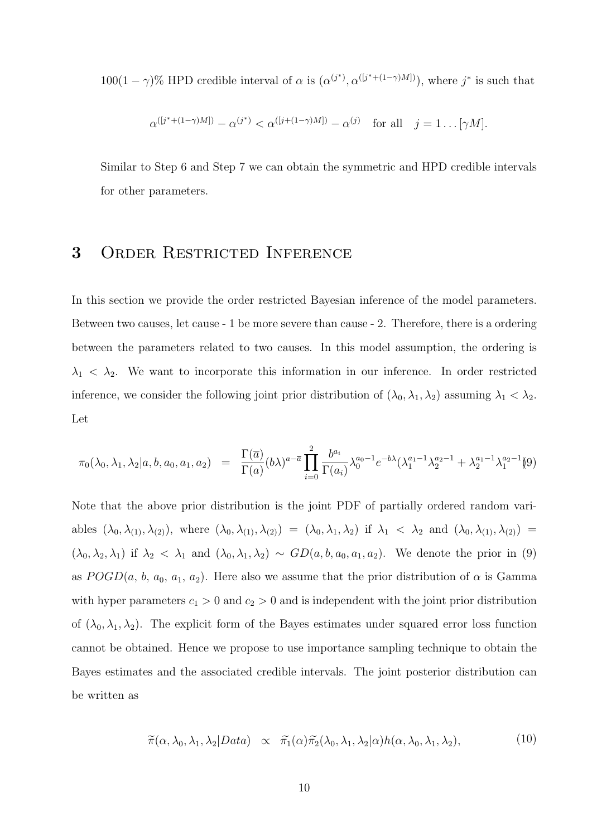100(1 –  $\gamma$ )% HPD credible interval of  $\alpha$  is  $(\alpha^{(j^*)}, \alpha^{([j^*+(1-\gamma)M])})$ , where j<sup>\*</sup> is such that

$$
\alpha^{([j^*+(1-\gamma)M])}-\alpha^{(j^*)}<\alpha^{([j+(1-\gamma)M])}-\alpha^{(j)} \quad \text{for all} \quad j=1 \dots [\gamma M].
$$

Similar to Step 6 and Step 7 we can obtain the symmetric and HPD credible intervals for other parameters.

## 3 Order Restricted Inference

In this section we provide the order restricted Bayesian inference of the model parameters. Between two causes, let cause - 1 be more severe than cause - 2. Therefore, there is a ordering between the parameters related to two causes. In this model assumption, the ordering is  $\lambda_1$  <  $\lambda_2$ . We want to incorporate this information in our inference. In order restricted inference, we consider the following joint prior distribution of  $(\lambda_0, \lambda_1, \lambda_2)$  assuming  $\lambda_1 < \lambda_2$ . Let

$$
\pi_0(\lambda_0, \lambda_1, \lambda_2 | a, b, a_0, a_1, a_2) = \frac{\Gamma(\overline{a})}{\Gamma(a)} (b\lambda)^{a-\overline{a}} \prod_{i=0}^2 \frac{b^{a_i}}{\Gamma(a_i)} \lambda_0^{a_0-1} e^{-b\lambda} (\lambda_1^{a_1-1} \lambda_2^{a_2-1} + \lambda_2^{a_1-1} \lambda_1^{a_2-1})^{(9)}
$$

Note that the above prior distribution is the joint PDF of partially ordered random variables  $(\lambda_0, \lambda_{(1)}, \lambda_{(2)})$ , where  $(\lambda_0, \lambda_{(1)}, \lambda_{(2)}) = (\lambda_0, \lambda_1, \lambda_2)$  if  $\lambda_1 < \lambda_2$  and  $(\lambda_0, \lambda_{(1)}, \lambda_{(2)}) =$  $(\lambda_0, \lambda_2, \lambda_1)$  if  $\lambda_2 < \lambda_1$  and  $(\lambda_0, \lambda_1, \lambda_2) \sim GD(a, b, a_0, a_1, a_2)$ . We denote the prior in (9) as  $POGD(a, b, a_0, a_1, a_2)$ . Here also we assume that the prior distribution of  $\alpha$  is Gamma with hyper parameters  $c_1 > 0$  and  $c_2 > 0$  and is independent with the joint prior distribution of  $(\lambda_0, \lambda_1, \lambda_2)$ . The explicit form of the Bayes estimates under squared error loss function cannot be obtained. Hence we propose to use importance sampling technique to obtain the Bayes estimates and the associated credible intervals. The joint posterior distribution can be written as

$$
\widetilde{\pi}(\alpha,\lambda_0,\lambda_1,\lambda_2|Data) \propto \widetilde{\pi_1}(\alpha)\widetilde{\pi_2}(\lambda_0,\lambda_1,\lambda_2|\alpha)h(\alpha,\lambda_0,\lambda_1,\lambda_2), \tag{10}
$$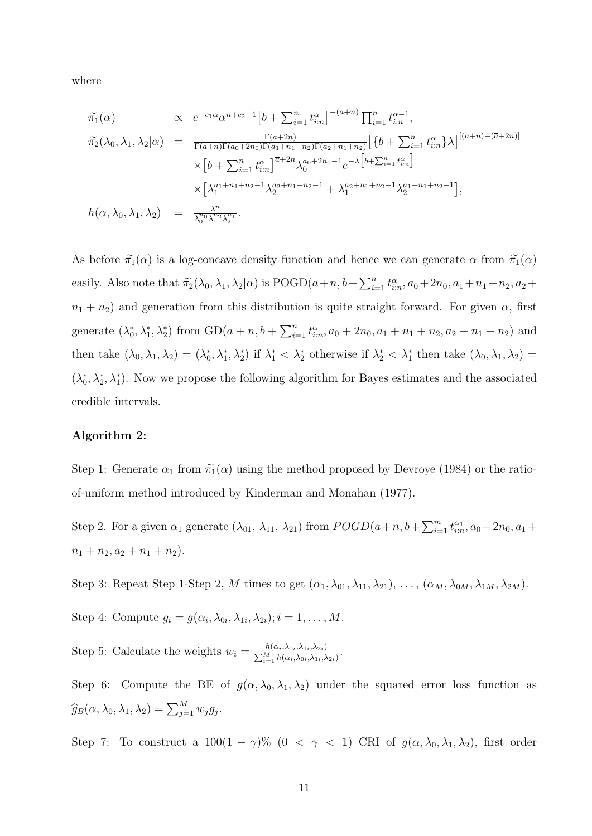where

$$
\tilde{\pi}_{1}(\alpha) \qquad \propto e^{-c_{1}\alpha} \alpha^{n+c_{2}-1} \left[b + \sum_{i=1}^{n} t_{i:n}^{\alpha}\right]^{-(a+n)} \prod_{i=1}^{n} t_{i:n}^{\alpha-1},
$$
\n
$$
\tilde{\pi}_{2}(\lambda_{0}, \lambda_{1}, \lambda_{2}|\alpha) = \frac{\Gamma(\bar{a}+2n)}{\Gamma(a+n)\Gamma(a_{0}+2n_{0})\Gamma(a_{1}+n_{1}+n_{2})\Gamma(a_{2}+n_{1}+n_{2})} \left[\left\{b + \sum_{i=1}^{n} t_{i:n}^{\alpha}\right\}\lambda\right]^{[(a+n)-(\bar{a}+2n)]}
$$
\n
$$
\times \left[b + \sum_{i=1}^{n} t_{i:n}^{\alpha}\right]^{\bar{a}+2n} \lambda_{0}^{a_{0}+2n_{0}-1} e^{-\lambda\left[b + \sum_{i=1}^{n} t_{i:n}^{\alpha}\right]}
$$
\n
$$
\times \left[\lambda_{1}^{a_{1}+n_{1}+n_{2}-1} \lambda_{2}^{a_{2}+n_{1}+n_{2}-1} + \lambda_{1}^{a_{2}+n_{1}+n_{2}-1} \lambda_{2}^{a_{1}+n_{1}+n_{2}-1}\right],
$$
\n
$$
h(\alpha, \lambda_{0}, \lambda_{1}, \lambda_{2}) = \frac{\lambda^{n}}{\lambda_{0}^{n_{0}} \lambda_{1}^{n_{2}} \lambda_{2}^{n_{1}}}.
$$

As before  $\tilde{\pi}_1(\alpha)$  is a log-concave density function and hence we can generate  $\alpha$  from  $\tilde{\pi}_1(\alpha)$ easily. Also note that  $\tilde{\pi_2}(\lambda_0, \lambda_1, \lambda_2 | \alpha)$  is  $\text{POGD}(a+n, b+\sum_{i=1}^n t_{i:n}^{\alpha}, a_0+2n_0, a_1+n_1+n_2, a_2+$  $n_1 + n_2$ ) and generation from this distribution is quite straight forward. For given  $\alpha$ , first generate  $(\lambda_0^*, \lambda_1^*, \lambda_2^*)$  from  $GD(a+n, b+\sum_{i=1}^n t_{i:n}^{\alpha}, a_0+2n_0, a_1+n_1+n_2, a_2+n_1+n_2)$  and then take  $(\lambda_0, \lambda_1, \lambda_2) = (\lambda_0^*, \lambda_1^*, \lambda_2^*)$  if  $\lambda_1^* < \lambda_2^*$  otherwise if  $\lambda_2^* < \lambda_1^*$  then take  $(\lambda_0, \lambda_1, \lambda_2) =$  $(\lambda_0^*, \lambda_2^*, \lambda_1^*)$ . Now we propose the following algorithm for Bayes estimates and the associated credible intervals.

#### Algorithm 2:

Step 1: Generate  $\alpha_1$  from  $\tilde{\pi}_1(\alpha)$  using the method proposed by Devroye (1984) or the ratioof-uniform method introduced by Kinderman and Monahan (1977).

Step 2. For a given  $\alpha_1$  generate  $(\lambda_{01}, \lambda_{11}, \lambda_{21})$  from  $POGD(a+n, b+\sum_{i=1}^m t_{i:n}^{\alpha_1}, a_0+2n_0, a_1+\sum_{i=1}^m t_{i:n}^{\alpha_1}, a_0+\sum_{i=1}^m t_{i:n}^{\alpha_1}, a_0+\sum_{i=1}^m t_{i:n}^{\alpha_1}, a_0+\sum_{i=1}^m t_{i:n}^{\alpha_1}, a_0+\sum_{i=1}^m t_{i:n}^{\alpha_1}, a_0+\sum_{i=$  $n_1 + n_2, a_2 + n_1 + n_2$ .

Step 3: Repeat Step 1-Step 2, M times to get  $(\alpha_1, \lambda_{01}, \lambda_{11}, \lambda_{21}), \ldots, (\alpha_M, \lambda_{0M}, \lambda_{1M}, \lambda_{2M}).$ 

Step 4: Compute  $g_i = g(\alpha_i, \lambda_{0i}, \lambda_{1i}, \lambda_{2i}); i = 1, \ldots, M$ .

Step 5: Calculate the weights  $w_i = \frac{h(\alpha_i, \lambda_{0i}, \lambda_{1i}, \lambda_{2i})}{\sum_{i=1}^{M} h(\alpha_i, \lambda_{0i}, \lambda_{1i})}$  $\frac{h(\alpha_i,\lambda_{0i},\lambda_{1i},\lambda_{2i})}{\sum_{i=1}^M h(\alpha_i,\lambda_{0i},\lambda_{1i},\lambda_{2i})}.$ 

Step 6: Compute the BE of  $g(\alpha, \lambda_0, \lambda_1, \lambda_2)$  under the squared error loss function as  $\widehat{g}_B(\alpha, \lambda_0, \lambda_1, \lambda_2) = \sum_{j=1}^M w_j g_j.$ 

Step 7: To construct a  $100(1 - \gamma)\%$  (0 <  $\gamma$  < 1) CRI of  $g(\alpha, \lambda_0, \lambda_1, \lambda_2)$ , first order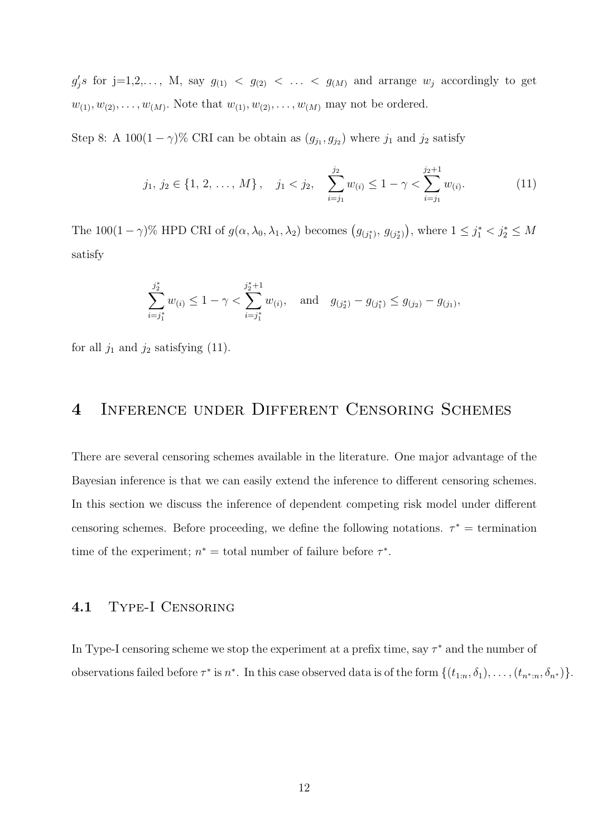$g'_j s$  for  $j=1,2,..., M$ , say  $g_{(1)} < g_{(2)} < ... < g_{(M)}$  and arrange  $w_j$  accordingly to get  $w_{(1)}, w_{(2)}, \ldots, w_{(M)}$ . Note that  $w_{(1)}, w_{(2)}, \ldots, w_{(M)}$  may not be ordered.

Step 8: A 100 $(1 - \gamma)$ % CRI can be obtain as  $(g_{j_1}, g_{j_2})$  where  $j_1$  and  $j_2$  satisfy

$$
j_1, j_2 \in \{1, 2, ..., M\}, \quad j_1 < j_2, \quad \sum_{i=j_1}^{j_2} w_{(i)} \le 1 - \gamma < \sum_{i=j_1}^{j_2+1} w_{(i)}.
$$
 (11)

The 100(1 –  $\gamma$ )% HPD CRI of  $g(\alpha, \lambda_0, \lambda_1, \lambda_2)$  becomes  $(g_{(j_1^*)}, g_{(j_2^*)})$ , where  $1 \le j_1^* < j_2^* \le M$ satisfy

$$
\sum_{i=j_1^*}^{j_2^*} w_{(i)} \le 1 - \gamma < \sum_{i=j_1^*}^{j_2^*+1} w_{(i)}, \text{ and } g_{(j_2^*)} - g_{(j_1^*)} \le g_{(j_2)} - g_{(j_1)},
$$

for all  $j_1$  and  $j_2$  satisfying (11).

## 4 Inference under Different Censoring Schemes

There are several censoring schemes available in the literature. One major advantage of the Bayesian inference is that we can easily extend the inference to different censoring schemes. In this section we discuss the inference of dependent competing risk model under different censoring schemes. Before proceeding, we define the following notations.  $\tau^* =$  termination time of the experiment;  $n^* =$  total number of failure before  $\tau^*$ .

#### 4.1 Type-I Censoring

In Type-I censoring scheme we stop the experiment at a prefix time, say  $\tau^*$  and the number of observations failed before  $\tau^*$  is  $n^*$ . In this case observed data is of the form  $\{(t_{1:n}, \delta_1), \ldots, (t_{n^*:n}, \delta_{n^*})\}.$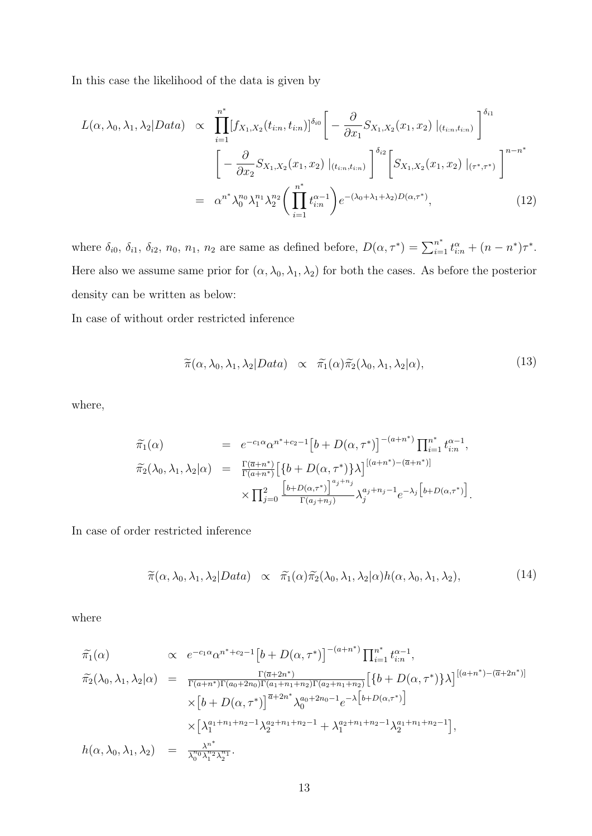In this case the likelihood of the data is given by

$$
L(\alpha, \lambda_0, \lambda_1, \lambda_2 | Data) \propto \prod_{i=1}^{n^*} [f_{X_1, X_2}(t_{i:n}, t_{i:n})]^{\delta_{i0}} \left[ -\frac{\partial}{\partial x_1} S_{X_1, X_2}(x_1, x_2) \big|_{(t_{i:n}, t_{i:n})} \right]^{\delta_{i1}} \left[ -\frac{\partial}{\partial x_2} S_{X_1, X_2}(x_1, x_2) \big|_{(t_{i:n}, t_{i:n})} \right]^{\delta_{i2}} \left[ S_{X_1, X_2}(x_1, x_2) \big|_{(\tau^*, \tau^*)} \right]^{n - n^*} = \alpha^{n^*} \lambda_0^{n_0} \lambda_1^{n_1} \lambda_2^{n_2} \left( \prod_{i=1}^{n^*} t_{i:n}^{\alpha - 1} \right) e^{-(\lambda_0 + \lambda_1 + \lambda_2) D(\alpha, \tau^*)}, \tag{12}
$$

where  $\delta_{i0}$ ,  $\delta_{i1}$ ,  $\delta_{i2}$ ,  $n_0$ ,  $n_1$ ,  $n_2$  are same as defined before,  $D(\alpha, \tau^*) = \sum_{i=1}^{n^*} t_{i:n}^{\alpha} + (n - n^*)\tau^*$ . Here also we assume same prior for  $(\alpha, \lambda_0, \lambda_1, \lambda_2)$  for both the cases. As before the posterior density can be written as below:

In case of without order restricted inference

$$
\widetilde{\pi}(\alpha,\lambda_0,\lambda_1,\lambda_2|Data) \propto \widetilde{\pi_1}(\alpha)\widetilde{\pi_2}(\lambda_0,\lambda_1,\lambda_2|\alpha), \tag{13}
$$

where,

$$
\tilde{\pi_1}(\alpha) = e^{-c_1 \alpha} \alpha^{n^* + c_2 - 1} \left[ b + D(\alpha, \tau^*) \right]^{-(a + n^*)} \prod_{i=1}^{n^*} t_{i:n}^{\alpha - 1},
$$
\n
$$
\tilde{\pi_2}(\lambda_0, \lambda_1, \lambda_2 | \alpha) = \frac{\Gamma(\overline{a} + n^*)}{\Gamma(a + n^*)} \left[ \{ b + D(\alpha, \tau^*) \} \lambda \right]^{[(a + n^*) - (\overline{a} + n^*)]}
$$
\n
$$
\times \prod_{j=0}^2 \frac{\left[ b + D(\alpha, \tau^*) \right]^{a_j + n_j}}{\Gamma(a_j + n_j)} \lambda_j^{a_j + n_j - 1} e^{-\lambda_j \left[ b + D(\alpha, \tau^*) \right]}.
$$

In case of order restricted inference

$$
\widetilde{\pi}(\alpha,\lambda_0,\lambda_1,\lambda_2|Data) \propto \widetilde{\pi_1}(\alpha)\widetilde{\pi_2}(\lambda_0,\lambda_1,\lambda_2|\alpha)h(\alpha,\lambda_0,\lambda_1,\lambda_2), \tag{14}
$$

where

$$
\tilde{\pi}_{1}(\alpha) \propto e^{-c_{1}\alpha} \alpha^{n^{*}+c_{2}-1} \left[b+D(\alpha,\tau^{*})\right]^{-(a+n^{*})} \prod_{i=1}^{n^{*}} t_{i:n}^{\alpha-1},
$$
\n
$$
\tilde{\pi}_{2}(\lambda_{0},\lambda_{1},\lambda_{2}|\alpha) = \frac{\Gamma(\bar{a}+2n^{*})}{\Gamma(a+n^{*})\Gamma(a_{0}+2n_{0})\Gamma(a_{1}+n_{1}+n_{2})\Gamma(a_{2}+n_{1}+n_{2})} \left[\left\{b+D(\alpha,\tau^{*})\right\}\lambda\right]^{[(a+n^{*})-(\bar{a}+2n^{*})]}
$$
\n
$$
\times \left[b+D(\alpha,\tau^{*})\right]^{\bar{a}+2n^{*}} \lambda_{0}^{a_{0}+2n_{0}-1} e^{-\lambda \left[b+D(\alpha,\tau^{*})\right]}
$$
\n
$$
\times \left[\lambda_{1}^{a_{1}+n_{1}+n_{2}-1}\lambda_{2}^{a_{2}+n_{1}+n_{2}-1} + \lambda_{1}^{a_{2}+n_{1}+n_{2}-1}\lambda_{2}^{a_{1}+n_{1}+n_{2}-1}\right],
$$
\n
$$
h(\alpha,\lambda_{0},\lambda_{1},\lambda_{2}) = \frac{\lambda^{n^{*}}}{\lambda_{0}^{n_{0}}\lambda_{1}^{n_{2}}\lambda_{2}^{n_{1}}}.
$$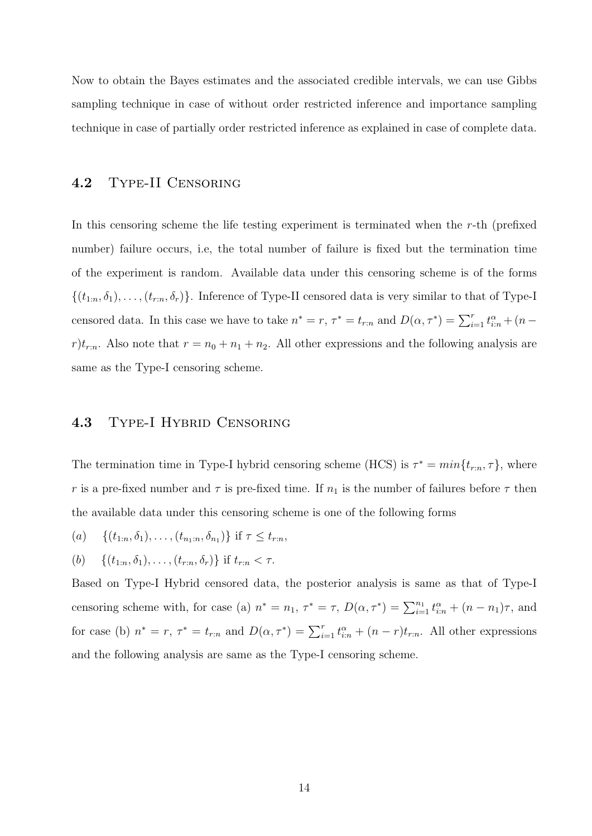Now to obtain the Bayes estimates and the associated credible intervals, we can use Gibbs sampling technique in case of without order restricted inference and importance sampling technique in case of partially order restricted inference as explained in case of complete data.

#### 4.2 Type-II Censoring

In this censoring scheme the life testing experiment is terminated when the  $r$ -th (prefixed number) failure occurs, i.e, the total number of failure is fixed but the termination time of the experiment is random. Available data under this censoring scheme is of the forms  $\{(t_{1:n}, \delta_1), \ldots, (t_{r:n}, \delta_r)\}\.$  Inference of Type-II censored data is very similar to that of Type-I censored data. In this case we have to take  $n^* = r$ ,  $\tau^* = t_{r:n}$  and  $D(\alpha, \tau^*) = \sum_{i=1}^r t_{i:n}^{\alpha} + (n - \tau^*)^2$  $r)t_{r:n}$ . Also note that  $r = n_0 + n_1 + n_2$ . All other expressions and the following analysis are same as the Type-I censoring scheme.

#### 4.3 Type-I Hybrid Censoring

The termination time in Type-I hybrid censoring scheme (HCS) is  $\tau^* = min\{t_{r:n}, \tau\}$ , where r is a pre-fixed number and  $\tau$  is pre-fixed time. If  $n_1$  is the number of failures before  $\tau$  then the available data under this censoring scheme is one of the following forms

(a) 
$$
\{(t_{1:n}, \delta_1), \ldots, (t_{n_1:n}, \delta_{n_1})\}
$$
 if  $\tau \leq t_{r:n}$ ,

(b)  $\{(t_{1:n}, \delta_1), \ldots, (t_{r:n}, \delta_r)\}\)$  if  $t_{r:n} < \tau$ .

Based on Type-I Hybrid censored data, the posterior analysis is same as that of Type-I censoring scheme with, for case (a)  $n^* = n_1$ ,  $\tau^* = \tau$ ,  $D(\alpha, \tau^*) = \sum_{i=1}^{n_1} t_{i:n}^{\alpha} + (n - n_1)\tau$ , and for case (b)  $n^* = r$ ,  $\tau^* = t_{r:n}$  and  $D(\alpha, \tau^*) = \sum_{i=1}^r t_{i:n}^{\alpha} + (n-r)t_{r:n}$ . All other expressions and the following analysis are same as the Type-I censoring scheme.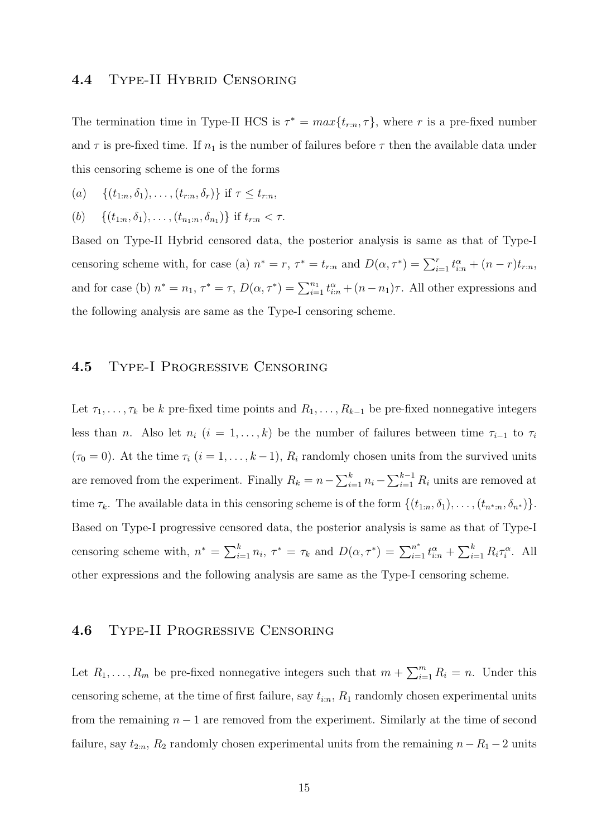#### 4.4 Type-II Hybrid Censoring

The termination time in Type-II HCS is  $\tau^* = max\{t_{r:n}, \tau\}$ , where r is a pre-fixed number and  $\tau$  is pre-fixed time. If  $n_1$  is the number of failures before  $\tau$  then the available data under this censoring scheme is one of the forms

(a) 
$$
\{(t_{1:n}, \delta_1), \ldots, (t_{r:n}, \delta_r)\}\}
$$
 if  $\tau \leq t_{r:n}$ ,

(b) 
$$
\{(t_{1:n}, \delta_1), \ldots, (t_{n_1:n}, \delta_{n_1})\}
$$
 if  $t_{r:n} < \tau$ .

Based on Type-II Hybrid censored data, the posterior analysis is same as that of Type-I censoring scheme with, for case (a)  $n^* = r$ ,  $\tau^* = t_{r:n}$  and  $D(\alpha, \tau^*) = \sum_{i=1}^r t_{i:n}^{\alpha} + (n-r)t_{r:n}$ , and for case (b)  $n^* = n_1$ ,  $\tau^* = \tau$ ,  $D(\alpha, \tau^*) = \sum_{i=1}^{n_1} t_{i:n}^{\alpha} + (n - n_1)\tau$ . All other expressions and the following analysis are same as the Type-I censoring scheme.

#### 4.5 Type-I Progressive Censoring

Let  $\tau_1, \ldots, \tau_k$  be k pre-fixed time points and  $R_1, \ldots, R_{k-1}$  be pre-fixed nonnegative integers less than *n*. Also let  $n_i$  ( $i = 1, ..., k$ ) be the number of failures between time  $\tau_{i-1}$  to  $\tau_i$  $(\tau_0 = 0)$ . At the time  $\tau_i$   $(i = 1, ..., k - 1)$ ,  $R_i$  randomly chosen units from the survived units are removed from the experiment. Finally  $R_k = n - \sum_{i=1}^k n_i - \sum_{i=1}^{k-1} R_i$  units are removed at time  $\tau_k$ . The available data in this censoring scheme is of the form  $\{(t_{1:n}, \delta_1), \ldots, (t_{n^*,n}, \delta_{n^*})\}.$ Based on Type-I progressive censored data, the posterior analysis is same as that of Type-I censoring scheme with,  $n^* = \sum_{i=1}^k n_i$ ,  $\tau^* = \tau_k$  and  $D(\alpha, \tau^*) = \sum_{i=1}^{n^*} t_{i:n}^{\alpha} + \sum_{i=1}^k R_i \tau_i^{\alpha}$ . All other expressions and the following analysis are same as the Type-I censoring scheme.

#### 4.6 Type-II Progressive Censoring

Let  $R_1, \ldots, R_m$  be pre-fixed nonnegative integers such that  $m + \sum_{i=1}^m R_i = n$ . Under this censoring scheme, at the time of first failure, say  $t_{i:n}$ ,  $R_1$  randomly chosen experimental units from the remaining  $n - 1$  are removed from the experiment. Similarly at the time of second failure, say  $t_{2:n}$ ,  $R_2$  randomly chosen experimental units from the remaining  $n-R_1-2$  units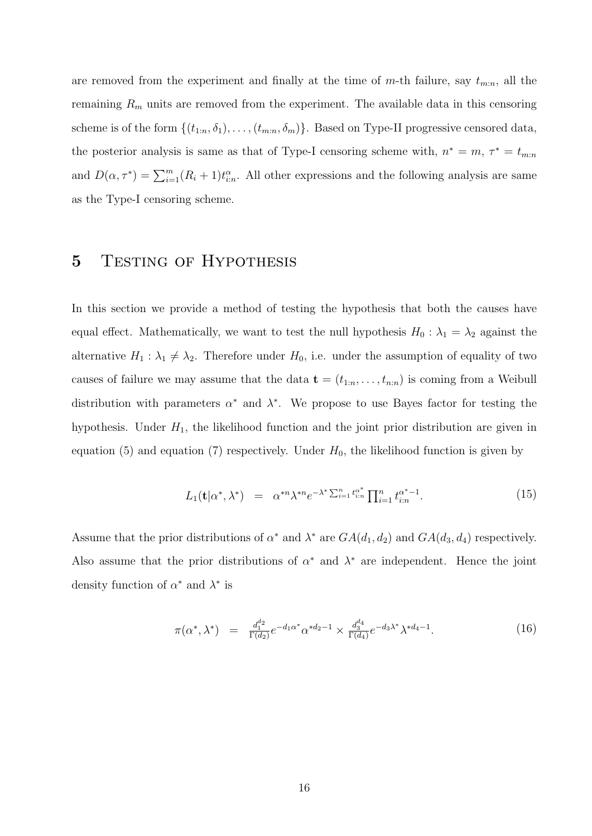are removed from the experiment and finally at the time of  $m$ -th failure, say  $t_{m:n}$ , all the remaining  $R_m$  units are removed from the experiment. The available data in this censoring scheme is of the form  $\{(t_{1:n}, \delta_1), \ldots, (t_{m:n}, \delta_m)\}\$ . Based on Type-II progressive censored data, the posterior analysis is same as that of Type-I censoring scheme with,  $n^* = m$ ,  $\tau^* = t_{m:n}$ and  $D(\alpha, \tau^*) = \sum_{i=1}^m (R_i + 1)t_{i:n}^{\alpha}$ . All other expressions and the following analysis are same as the Type-I censoring scheme.

## 5 TESTING OF HYPOTHESIS

In this section we provide a method of testing the hypothesis that both the causes have equal effect. Mathematically, we want to test the null hypothesis  $H_0 : \lambda_1 = \lambda_2$  against the alternative  $H_1 : \lambda_1 \neq \lambda_2$ . Therefore under  $H_0$ , i.e. under the assumption of equality of two causes of failure we may assume that the data  $\mathbf{t} = (t_{1:n}, \ldots, t_{n:n})$  is coming from a Weibull distribution with parameters  $\alpha^*$  and  $\lambda^*$ . We propose to use Bayes factor for testing the hypothesis. Under  $H_1$ , the likelihood function and the joint prior distribution are given in equation (5) and equation (7) respectively. Under  $H_0$ , the likelihood function is given by

$$
L_1(\mathbf{t}|\alpha^*,\lambda^*) = \alpha^{*n}\lambda^{*n}e^{-\lambda^* \sum_{i=1}^n t_{i:n}^{\alpha^*}}\prod_{i=1}^n t_{i:n}^{\alpha^*-1}.
$$
 (15)

Assume that the prior distributions of  $\alpha^*$  and  $\lambda^*$  are  $GA(d_1, d_2)$  and  $GA(d_3, d_4)$  respectively. Also assume that the prior distributions of  $\alpha^*$  and  $\lambda^*$  are independent. Hence the joint density function of  $\alpha^*$  and  $\lambda^*$  is

$$
\pi(\alpha^*, \lambda^*) = \frac{d_1^{d_2}}{\Gamma(d_2)} e^{-d_1 \alpha^*} \alpha^{*d_2 - 1} \times \frac{d_3^{d_4}}{\Gamma(d_4)} e^{-d_3 \lambda^*} \lambda^{*d_4 - 1}.
$$
\n(16)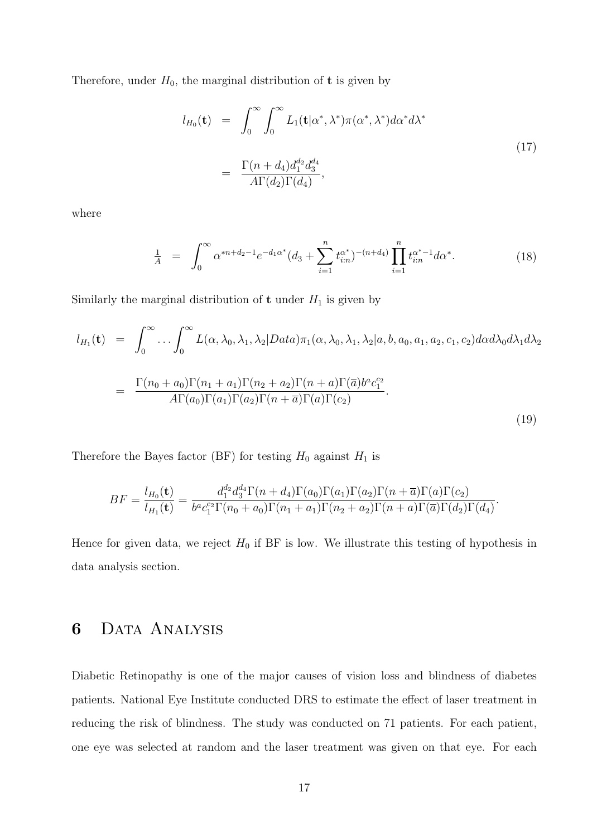Therefore, under  $H_0$ , the marginal distribution of **t** is given by

$$
l_{H_0}(\mathbf{t}) = \int_0^\infty \int_0^\infty L_1(\mathbf{t}|\alpha^*, \lambda^*) \pi(\alpha^*, \lambda^*) d\alpha^* d\lambda^*
$$
  

$$
= \frac{\Gamma(n + d_4) d_1^{d_2} d_3^{d_4}}{A \Gamma(d_2) \Gamma(d_4)},
$$
 (17)

where

$$
\frac{1}{A} = \int_0^\infty \alpha^{*n+d_2-1} e^{-d_1 \alpha^*} (d_3 + \sum_{i=1}^n t_{i:n}^{\alpha^*})^{-(n+d_4)} \prod_{i=1}^n t_{i:n}^{\alpha^*-1} d\alpha^*.
$$
 (18)

Similarly the marginal distribution of **t** under  $H_1$  is given by

$$
l_{H_1}(\mathbf{t}) = \int_0^\infty \dots \int_0^\infty L(\alpha, \lambda_0, \lambda_1, \lambda_2 | Data) \pi_1(\alpha, \lambda_0, \lambda_1, \lambda_2 | a, b, a_0, a_1, a_2, c_1, c_2) d\alpha d\lambda_0 d\lambda_1 d\lambda_2
$$
  

$$
= \frac{\Gamma(n_0 + a_0) \Gamma(n_1 + a_1) \Gamma(n_2 + a_2) \Gamma(n + a) \Gamma(\overline{a}) b^a c_1^{c_2}}{A \Gamma(a_0) \Gamma(a_1) \Gamma(a_2) \Gamma(n + \overline{a}) \Gamma(a) \Gamma(c_2)}.
$$
 (19)

Therefore the Bayes factor (BF) for testing  $H_0$  against  $H_1$  is

$$
BF = \frac{l_{H_0}(\mathbf{t})}{l_{H_1}(\mathbf{t})} = \frac{d_1^{d_2} d_3^{d_4} \Gamma(n + d_4) \Gamma(a_0) \Gamma(a_1) \Gamma(a_2) \Gamma(n + \overline{a}) \Gamma(a) \Gamma(c_2)}{b^a c_1^{c_2} \Gamma(n_0 + a_0) \Gamma(n_1 + a_1) \Gamma(n_2 + a_2) \Gamma(n + a) \Gamma(\overline{a}) \Gamma(d_2) \Gamma(d_4)}.
$$

Hence for given data, we reject  $H_0$  if BF is low. We illustrate this testing of hypothesis in data analysis section.

## 6 Data Analysis

Diabetic Retinopathy is one of the major causes of vision loss and blindness of diabetes patients. National Eye Institute conducted DRS to estimate the effect of laser treatment in reducing the risk of blindness. The study was conducted on 71 patients. For each patient, one eye was selected at random and the laser treatment was given on that eye. For each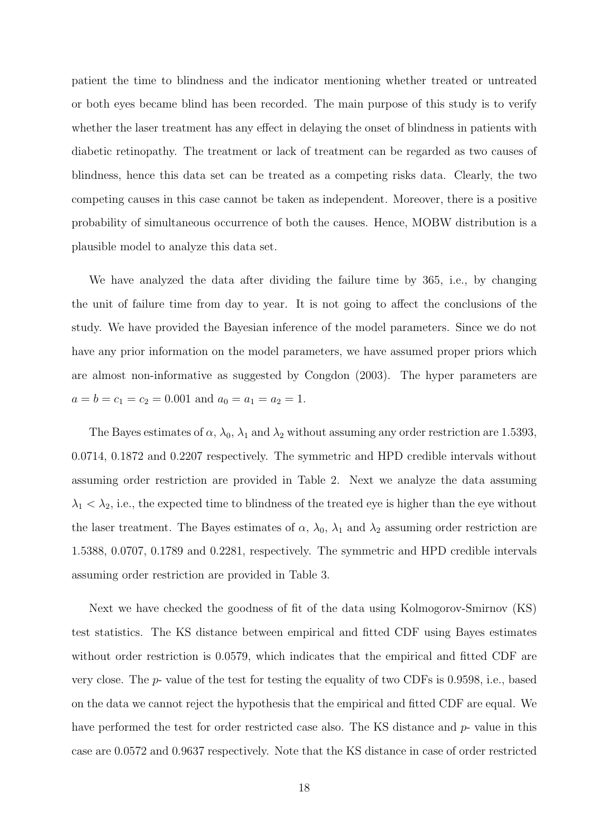patient the time to blindness and the indicator mentioning whether treated or untreated or both eyes became blind has been recorded. The main purpose of this study is to verify whether the laser treatment has any effect in delaying the onset of blindness in patients with diabetic retinopathy. The treatment or lack of treatment can be regarded as two causes of blindness, hence this data set can be treated as a competing risks data. Clearly, the two competing causes in this case cannot be taken as independent. Moreover, there is a positive probability of simultaneous occurrence of both the causes. Hence, MOBW distribution is a plausible model to analyze this data set.

We have analyzed the data after dividing the failure time by 365, i.e., by changing the unit of failure time from day to year. It is not going to affect the conclusions of the study. We have provided the Bayesian inference of the model parameters. Since we do not have any prior information on the model parameters, we have assumed proper priors which are almost non-informative as suggested by Congdon (2003). The hyper parameters are  $a = b = c_1 = c_2 = 0.001$  and  $a_0 = a_1 = a_2 = 1$ .

The Bayes estimates of  $\alpha$ ,  $\lambda_0$ ,  $\lambda_1$  and  $\lambda_2$  without assuming any order restriction are 1.5393, 0.0714, 0.1872 and 0.2207 respectively. The symmetric and HPD credible intervals without assuming order restriction are provided in Table 2. Next we analyze the data assuming  $\lambda_1 < \lambda_2$ , i.e., the expected time to blindness of the treated eye is higher than the eye without the laser treatment. The Bayes estimates of  $\alpha$ ,  $\lambda_0$ ,  $\lambda_1$  and  $\lambda_2$  assuming order restriction are 1.5388, 0.0707, 0.1789 and 0.2281, respectively. The symmetric and HPD credible intervals assuming order restriction are provided in Table 3.

Next we have checked the goodness of fit of the data using Kolmogorov-Smirnov (KS) test statistics. The KS distance between empirical and fitted CDF using Bayes estimates without order restriction is 0.0579, which indicates that the empirical and fitted CDF are very close. The p- value of the test for testing the equality of two CDFs is 0.9598, i.e., based on the data we cannot reject the hypothesis that the empirical and fitted CDF are equal. We have performed the test for order restricted case also. The KS distance and p- value in this case are 0.0572 and 0.9637 respectively. Note that the KS distance in case of order restricted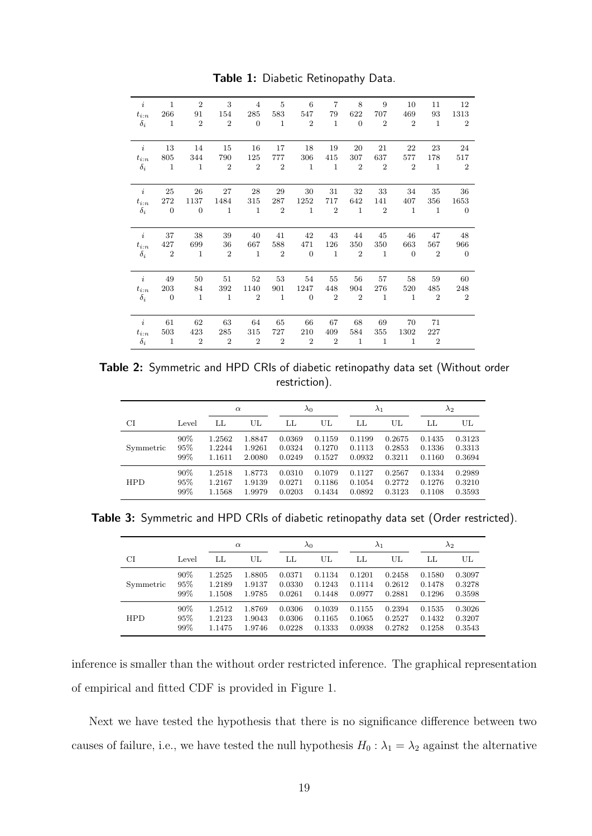| $\dot{i}$        | $\mathbf{1}$   | $\overline{2}$ | 3              | $\overline{4}$   | 5              | 6              | $\overline{7}$   | 8                | 9              | 10             | 11             | 12             |
|------------------|----------------|----------------|----------------|------------------|----------------|----------------|------------------|------------------|----------------|----------------|----------------|----------------|
| $t_{i:n}$        | 266            | 91             | 154            | 285              | 583            | 547            | 79               | 622              | 707            | 469            | 93             | 1313           |
| $\delta_i$       | 1              | $\overline{2}$ | $\overline{2}$ | $\Omega$         | $\mathbf{1}$   | $\overline{2}$ | $\mathbf{1}$     | $\overline{0}$   | $\overline{2}$ | $\overline{2}$ | $\mathbf{1}$   | $\overline{2}$ |
| $\dot{i}$        | 13             | 14             | 15             | 16               | 17             | 18             | 19               | 20               | 21             | 22             | 23             | 24             |
| $t_{i:n}$        | 805            | 344            | 790            | 125              | 777            | 306            | 415              | 307              | 637            | 577            | 178            | 517            |
| $\delta_i$       | $\overline{1}$ | $\mathbf{1}$   | $\overline{2}$ | $\overline{2}$   | $\overline{2}$ | $\mathbf{1}$   | $\mathbf{1}$     | $\overline{2}$   | $\overline{2}$ | $\overline{2}$ | 1              | $\overline{2}$ |
| $\dot{i}$        | 25             | 26             | 27             | 28               | 29             | 30             | 31               | 32               | 33             | 34             | 35             | 36             |
| $t_{i:n}$        | 272            | 1137           | 1484           | 315              | 287            | 1252           | 717              | 642              | 141            | 407            | 356            | 1653           |
| $\delta_i$       | $\overline{0}$ | $\theta$       | $\mathbf{1}$   | $\mathbf{1}$     | $\overline{2}$ | $\mathbf{1}$   | $\overline{2}$   | $\mathbf{1}$     | $\overline{2}$ | $\mathbf{1}$   | 1              | $\overline{0}$ |
| $\boldsymbol{i}$ | 37             | 38             | 39             | 40               | 41             | 42             | 43               | 44               | 45             | 46             | 47             | 48             |
| $t_{i:n}$        | 427            | 699            | 36             | 667              | 588            | 471            | 126              | 350              | 350            | 663            | 567            | 966            |
| $\delta_i$       | $\overline{2}$ | $\mathbf{1}$   | $\overline{2}$ | <sup>1</sup>     | $\overline{2}$ | $\overline{0}$ | $\mathbf{1}$     | $\overline{2}$   | $\mathbf{1}$   | $\Omega$       | $\overline{2}$ | $\overline{0}$ |
| $\it i$          | 49             | 50             | 51             | 52               | 53             | 54             | 55               | 56               | 57             | 58             | 59             | 60             |
| $t_{i:n}$        | 203            | 84             | 392            | 1140             | 901            | 1247           | 448              | 904              | 276            | 520            | 485            | 248            |
| $\delta_i$       | $\overline{0}$ | $\mathbf{1}$   | $\mathbf{1}$   | $\boldsymbol{2}$ | $\mathbf{1}$   | $\overline{0}$ | $\boldsymbol{2}$ | $\boldsymbol{2}$ | $\mathbf{1}$   | $\mathbf{1}$   | $\overline{2}$ | $\overline{2}$ |
| $\ddot{i}$       | 61             | 62             | 63             | 64               | 65             | 66             | 67               | 68               | 69             | 70             | 71             |                |
| $t_{i:n}$        | 503            | 423            | 285            | 315              | 727            | 210            | 409              | 584              | 355            | 1302           | 227            |                |
| $\delta_i$       | $\blacksquare$ | $\overline{2}$ | $\overline{2}$ | $\overline{2}$   | $\overline{2}$ | $\overline{2}$ | $\overline{2}$   | $\mathbf{1}$     | $\mathbf{1}$   | $\mathbf{1}$   | $\overline{2}$ |                |

Table 1: Diabetic Retinopathy Data.

Table 2: Symmetric and HPD CRIs of diabetic retinopathy data set (Without order restriction).

|            |       |        | $\alpha$ |        | $\lambda_0$ |        | $\lambda_1$ |        | $\lambda_2$ |
|------------|-------|--------|----------|--------|-------------|--------|-------------|--------|-------------|
| CI         | Level | LL     | UL       | LL     | UL          | LL     | UL          | LL     | UL          |
| Symmetric  | 90%   | 1.2562 | 1.8847   | 0.0369 | 0.1159      | 0.1199 | 0.2675      | 0.1435 | 0.3123      |
|            | 95%   | 1.2244 | 1.9261   | 0.0324 | 0.1270      | 0.1113 | 0.2853      | 0.1336 | 0.3313      |
|            | 99%   | 1.1611 | 2.0080   | 0.0249 | 0.1527      | 0.0932 | 0.3211      | 0.1160 | 0.3694      |
| <b>HPD</b> | 90%   | 1.2518 | 1.8773   | 0.0310 | 0.1079      | 0.1127 | 0.2567      | 0.1334 | 0.2989      |
|            | 95%   | 1.2167 | 1.9139   | 0.0271 | 0.1186      | 0.1054 | 0.2772      | 0.1276 | 0.3210      |
|            | 99%   | 1.1568 | 1.9979   | 0.0203 | 0.1434      | 0.0892 | 0.3123      | 0.1108 | 0.3593      |

Table 3: Symmetric and HPD CRIs of diabetic retinopathy data set (Order restricted).

|            |        |        | $\alpha$ |        | $\lambda_0$ |        | $\lambda_1$ |        | $\lambda_2$ |
|------------|--------|--------|----------|--------|-------------|--------|-------------|--------|-------------|
| СI         | Level  | LL     | UL       | LL     | UL          | LL     | UL          | LL     | UL          |
| Symmetric  | 90%    | 1.2525 | 1.8805   | 0.0371 | 0.1134      | 0.1201 | 0.2458      | 0.1580 | 0.3097      |
|            | $95\%$ | 1.2189 | 1.9137   | 0.0330 | 0.1243      | 0.1114 | 0.2612      | 0.1478 | 0.3278      |
|            | 99%    | 1.1508 | 1.9785   | 0.0261 | 0.1448      | 0.0977 | 0.2881      | 0.1296 | 0.3598      |
| <b>HPD</b> | 90%    | 1.2512 | 1.8769   | 0.0306 | 0.1039      | 0.1155 | 0.2394      | 0.1535 | 0.3026      |
|            | 95%    | 1.2123 | 1.9043   | 0.0306 | 0.1165      | 0.1065 | 0.2527      | 0.1432 | 0.3207      |
|            | 99%    | 1.1475 | 1.9746   | 0.0228 | 0.1333      | 0.0938 | 0.2782      | 0.1258 | 0.3543      |

inference is smaller than the without order restricted inference. The graphical representation of empirical and fitted CDF is provided in Figure 1.

Next we have tested the hypothesis that there is no significance difference between two causes of failure, i.e., we have tested the null hypothesis  $H_0 : \lambda_1 = \lambda_2$  against the alternative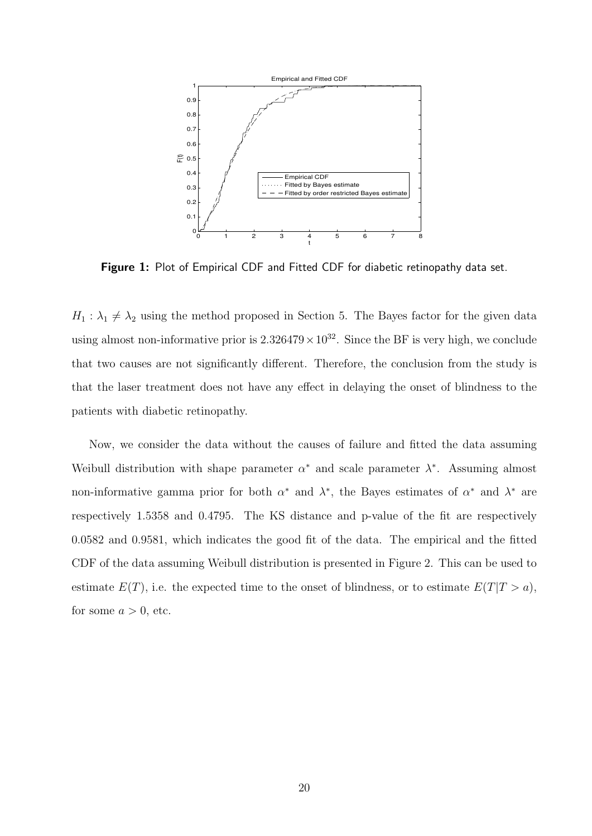

Figure 1: Plot of Empirical CDF and Fitted CDF for diabetic retinopathy data set.

 $H_1 : \lambda_1 \neq \lambda_2$  using the method proposed in Section 5. The Bayes factor for the given data using almost non-informative prior is  $2.326479 \times 10^{32}$ . Since the BF is very high, we conclude that two causes are not significantly different. Therefore, the conclusion from the study is that the laser treatment does not have any effect in delaying the onset of blindness to the patients with diabetic retinopathy.

Now, we consider the data without the causes of failure and fitted the data assuming Weibull distribution with shape parameter  $\alpha^*$  and scale parameter  $\lambda^*$ . Assuming almost non-informative gamma prior for both  $\alpha^*$  and  $\lambda^*$ , the Bayes estimates of  $\alpha^*$  and  $\lambda^*$  are respectively 1.5358 and 0.4795. The KS distance and p-value of the fit are respectively 0.0582 and 0.9581, which indicates the good fit of the data. The empirical and the fitted CDF of the data assuming Weibull distribution is presented in Figure 2. This can be used to estimate  $E(T)$ , i.e. the expected time to the onset of blindness, or to estimate  $E(T|T > a)$ , for some  $a > 0$ , etc.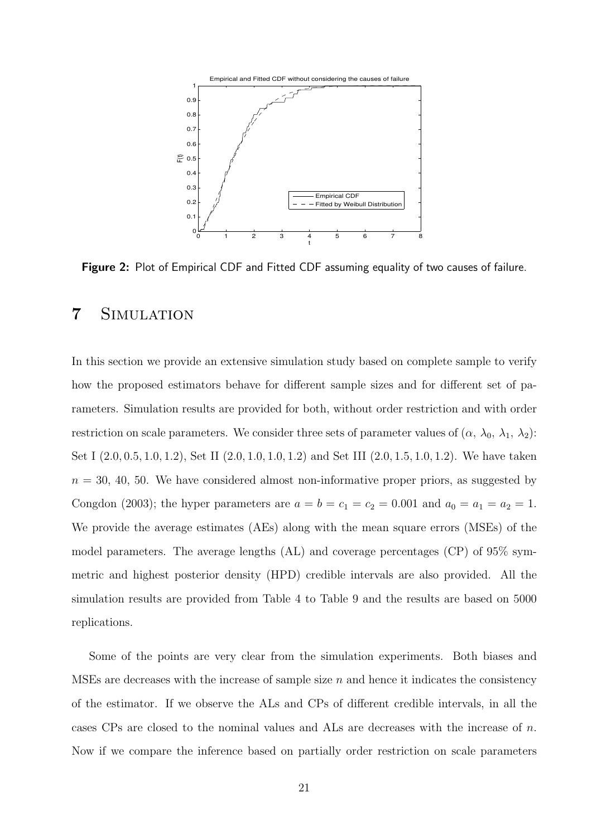

Figure 2: Plot of Empirical CDF and Fitted CDF assuming equality of two causes of failure.

## 7 Simulation

In this section we provide an extensive simulation study based on complete sample to verify how the proposed estimators behave for different sample sizes and for different set of parameters. Simulation results are provided for both, without order restriction and with order restriction on scale parameters. We consider three sets of parameter values of  $(\alpha, \lambda_0, \lambda_1, \lambda_2)$ : Set I (2.0, 0.5, 1.0, 1.2), Set II (2.0, 1.0, 1.0, 1.2) and Set III (2.0, 1.5, 1.0, 1.2). We have taken  $n = 30, 40, 50$ . We have considered almost non-informative proper priors, as suggested by Congdon (2003); the hyper parameters are  $a = b = c_1 = c_2 = 0.001$  and  $a_0 = a_1 = a_2 = 1$ . We provide the average estimates (AEs) along with the mean square errors (MSEs) of the model parameters. The average lengths (AL) and coverage percentages (CP) of 95% symmetric and highest posterior density (HPD) credible intervals are also provided. All the simulation results are provided from Table 4 to Table 9 and the results are based on 5000 replications.

Some of the points are very clear from the simulation experiments. Both biases and MSEs are decreases with the increase of sample size  $n$  and hence it indicates the consistency of the estimator. If we observe the ALs and CPs of different credible intervals, in all the cases CPs are closed to the nominal values and ALs are decreases with the increase of  $n$ . Now if we compare the inference based on partially order restriction on scale parameters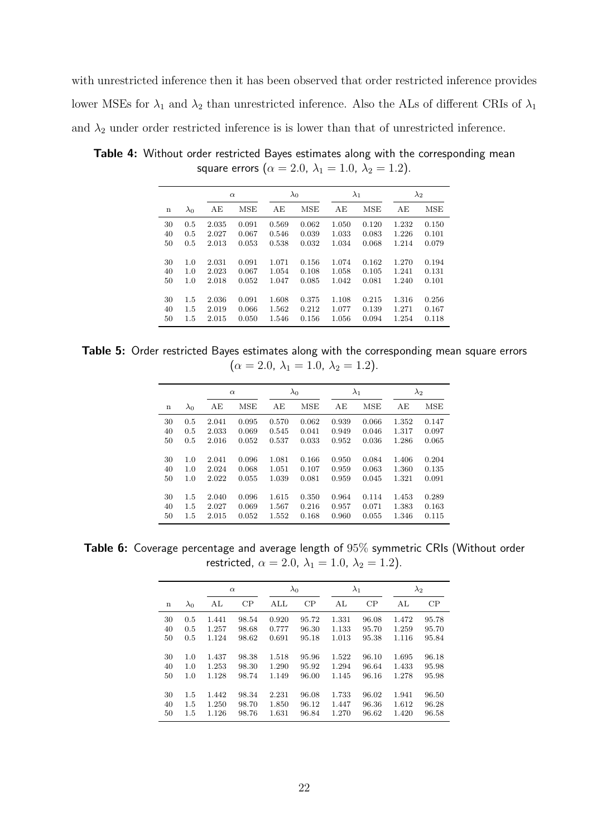with unrestricted inference then it has been observed that order restricted inference provides lower MSEs for  $\lambda_1$  and  $\lambda_2$  than unrestricted inference. Also the ALs of different CRIs of  $\lambda_1$ and  $\lambda_2$  under order restricted inference is is lower than that of unrestricted inference.

|             |             |       | $\alpha$   |       | $\lambda_0$ |       | $\lambda_1$ |       | $\lambda_2$ |
|-------------|-------------|-------|------------|-------|-------------|-------|-------------|-------|-------------|
| $\mathbf n$ | $\lambda_0$ | AЕ    | <b>MSE</b> | AE    | <b>MSE</b>  | AE    | MSE         | AE    | MSE         |
| 30          | 0.5         | 2.035 | 0.091      | 0.569 | 0.062       | 1.050 | 0.120       | 1.232 | 0.150       |
| 40          | 0.5         | 2.027 | 0.067      | 0.546 | 0.039       | 1.033 | 0.083       | 1.226 | 0.101       |
| 50          | 0.5         | 2.013 | 0.053      | 0.538 | 0.032       | 1.034 | 0.068       | 1.214 | 0.079       |
|             |             |       |            |       |             |       |             |       |             |
| 30          | 1.0         | 2.031 | 0.091      | 1.071 | 0.156       | 1.074 | 0.162       | 1.270 | 0.194       |
| 40          | 1.0         | 2.023 | 0.067      | 1.054 | 0.108       | 1.058 | 0.105       | 1.241 | 0.131       |
| 50          | 1.0         | 2.018 | 0.052      | 1.047 | 0.085       | 1.042 | 0.081       | 1.240 | 0.101       |
|             |             |       |            |       |             |       |             |       |             |
| 30          | 1.5         | 2.036 | 0.091      | 1.608 | 0.375       | 1.108 | 0.215       | 1.316 | 0.256       |
| 40          | 1.5         | 2.019 | 0.066      | 1.562 | 0.212       | 1.077 | 0.139       | 1.271 | 0.167       |
| 50          | 1.5         | 2.015 | 0.050      | 1.546 | 0.156       | 1.056 | 0.094       | 1.254 | 0.118       |

Table 4: Without order restricted Bayes estimates along with the corresponding mean square errors  $(\alpha = 2.0, \lambda_1 = 1.0, \lambda_2 = 1.2).$ 

Table 5: Order restricted Bayes estimates along with the corresponding mean square errors  $(\alpha = 2.0, \lambda_1 = 1.0, \lambda_2 = 1.2).$ 

|             |             | $\alpha$ |       |       | $\lambda_0$ |       | $\lambda_1$ |       | $\lambda_2$ |
|-------------|-------------|----------|-------|-------|-------------|-------|-------------|-------|-------------|
| $\mathbf n$ | $\lambda_0$ | AЕ       | MSE   | AЕ    | <b>MSE</b>  | AE    | <b>MSE</b>  | AЕ    | MSE         |
| 30          | 0.5         | 2.041    | 0.095 | 0.570 | 0.062       | 0.939 | 0.066       | 1.352 | 0.147       |
| 40          | 0.5         | 2.033    | 0.069 | 0.545 | 0.041       | 0.949 | 0.046       | 1.317 | 0.097       |
| 50          | 0.5         | 2.016    | 0.052 | 0.537 | 0.033       | 0.952 | 0.036       | 1.286 | 0.065       |
|             |             |          |       |       |             |       |             |       |             |
| 30          | 1.0         | 2.041    | 0.096 | 1.081 | 0.166       | 0.950 | 0.084       | 1.406 | 0.204       |
| 40          | 1.0         | 2.024    | 0.068 | 1.051 | 0.107       | 0.959 | 0.063       | 1.360 | 0.135       |
| 50          | 1.0         | 2.022    | 0.055 | 1.039 | 0.081       | 0.959 | 0.045       | 1.321 | 0.091       |
|             |             |          |       |       |             |       |             |       |             |
| 30          | 1.5         | 2.040    | 0.096 | 1.615 | 0.350       | 0.964 | 0.114       | 1.453 | 0.289       |
| 40          | $1.5\,$     | 2.027    | 0.069 | 1.567 | 0.216       | 0.957 | 0.071       | 1.383 | 0.163       |
| 50          | 1.5         | 2.015    | 0.052 | 1.552 | 0.168       | 0.960 | 0.055       | 1.346 | 0.115       |

Table 6: Coverage percentage and average length of 95% symmetric CRIs (Without order restricted,  $\alpha = 2.0$ ,  $\lambda_1 = 1.0$ ,  $\lambda_2 = 1.2$ ).

|             |             | $\alpha$ |       |                         | $\lambda_0$ |       | $\lambda_1$ |       | $\lambda_2$ |
|-------------|-------------|----------|-------|-------------------------|-------------|-------|-------------|-------|-------------|
| $\mathbf n$ | $\lambda_0$ | AL       | CP    | $\mathop{\mathrm{ALL}}$ | CP          | AL    | CP          | AL    | CP          |
| 30          | 0.5         | 1.441    | 98.54 | 0.920                   | 95.72       | 1.331 | 96.08       | 1.472 | 95.78       |
| 40          | 0.5         | 1.257    | 98.68 | 0.777                   | 96.30       | 1.133 | 95.70       | 1.259 | 95.70       |
| 50          | 0.5         | 1.124    | 98.62 | 0.691                   | 95.18       | 1.013 | 95.38       | 1.116 | 95.84       |
|             |             |          |       |                         |             |       |             |       |             |
| 30          | 1.0         | 1.437    | 98.38 | 1.518                   | 95.96       | 1.522 | 96.10       | 1.695 | 96.18       |
| 40          | 1.0         | 1.253    | 98.30 | 1.290                   | 95.92       | 1.294 | 96.64       | 1.433 | 95.98       |
| 50          | 1.0         | 1.128    | 98.74 | 1.149                   | 96.00       | 1.145 | 96.16       | 1.278 | 95.98       |
|             |             |          |       |                         |             |       |             |       |             |
| 30          | 1.5         | 1.442    | 98.34 | 2.231                   | 96.08       | 1.733 | 96.02       | 1.941 | 96.50       |
| 40          | 1.5         | 1.250    | 98.70 | 1.850                   | 96.12       | 1.447 | 96.36       | 1.612 | 96.28       |
| 50          | 1.5         | 1.126    | 98.76 | 1.631                   | 96.84       | 1.270 | 96.62       | 1.420 | 96.58       |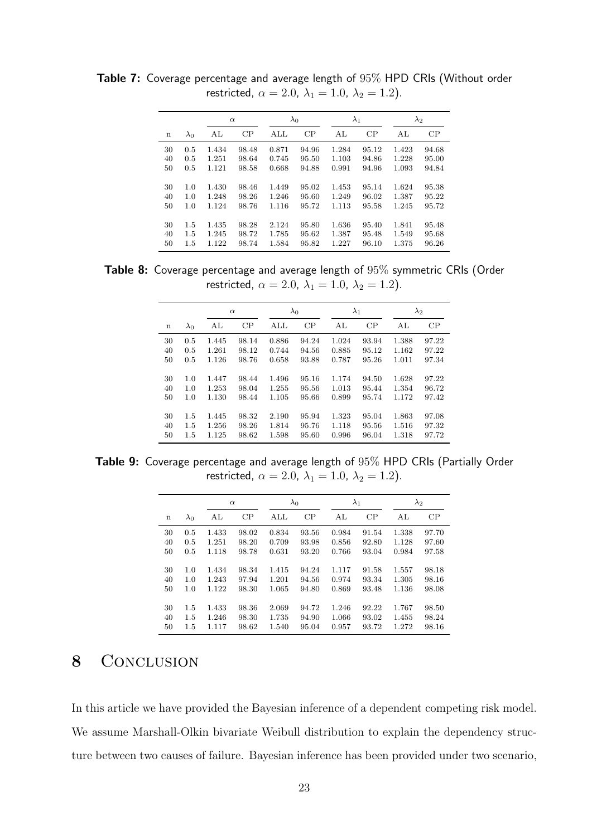|             |             | $\alpha$ |       |       | $\lambda_0$ |       | $\lambda_1$ |       | $\lambda_2$ |
|-------------|-------------|----------|-------|-------|-------------|-------|-------------|-------|-------------|
| $\mathbf n$ | $\lambda_0$ | AL       | CP    | ALL   | CP          | AL    | CP          | AL    | CP          |
| 30          | 0.5         | 1.434    | 98.48 | 0.871 | 94.96       | 1.284 | 95.12       | 1.423 | 94.68       |
| 40          | 0.5         | 1.251    | 98.64 | 0.745 | 95.50       | 1.103 | 94.86       | 1.228 | 95.00       |
| 50          | 0.5         | 1.121    | 98.58 | 0.668 | 94.88       | 0.991 | 94.96       | 1.093 | 94.84       |
|             |             |          |       |       |             |       |             |       |             |
| 30          | 1.0         | 1.430    | 98.46 | 1.449 | 95.02       | 1.453 | 95.14       | 1.624 | 95.38       |
| 40          | 1.0         | 1.248    | 98.26 | 1.246 | 95.60       | 1.249 | 96.02       | 1.387 | 95.22       |
| 50          | 1.0         | 1.124    | 98.76 | 1.116 | 95.72       | 1.113 | 95.58       | 1.245 | 95.72       |
|             |             |          |       |       |             |       |             |       |             |
| 30          | 1.5         | 1.435    | 98.28 | 2.124 | 95.80       | 1.636 | 95.40       | 1.841 | 95.48       |
| 40          | 1.5         | 1.245    | 98.72 | 1.785 | 95.62       | 1.387 | 95.48       | 1.549 | 95.68       |
| 50          | 1.5         | 1.122    | 98.74 | 1.584 | 95.82       | 1.227 | 96.10       | 1.375 | 96.26       |

Table 7: Coverage percentage and average length of 95% HPD CRIs (Without order restricted,  $\alpha = 2.0$ ,  $\lambda_1 = 1.0$ ,  $\lambda_2 = 1.2$ ).

Table 8: Coverage percentage and average length of 95% symmetric CRIs (Order restricted,  $\alpha = 2.0$ ,  $\lambda_1 = 1.0$ ,  $\lambda_2 = 1.2$ ).

|             |             | $\alpha$ |       |                         | $\lambda_0$ |       | $\lambda_1$ |       | $\lambda_2$ |
|-------------|-------------|----------|-------|-------------------------|-------------|-------|-------------|-------|-------------|
| $\mathbf n$ | $\lambda_0$ | AL       | CP    | $\mathop{\mathrm{ALL}}$ | CP          | AL    | CP          | AL    | CP          |
| 30          | 0.5         | 1.445    | 98.14 | 0.886                   | 94.24       | 1.024 | 93.94       | 1.388 | 97.22       |
| 40          | 0.5         | 1.261    | 98.12 | 0.744                   | 94.56       | 0.885 | 95.12       | 1.162 | 97.22       |
| 50          | 0.5         | 1.126    | 98.76 | 0.658                   | 93.88       | 0.787 | 95.26       | 1.011 | 97.34       |
|             |             |          |       |                         |             |       |             |       |             |
| 30          | 1.0         | 1.447    | 98.44 | 1.496                   | 95.16       | 1.174 | 94.50       | 1.628 | 97.22       |
| 40          | 1.0         | 1.253    | 98.04 | 1.255                   | 95.56       | 1.013 | 95.44       | 1.354 | 96.72       |
| 50          | 1.0         | 1.130    | 98.44 | 1.105                   | 95.66       | 0.899 | 95.74       | 1.172 | 97.42       |
|             |             |          |       |                         |             |       |             |       |             |
| 30          | 1.5         | 1.445    | 98.32 | 2.190                   | 95.94       | 1.323 | 95.04       | 1.863 | 97.08       |
| 40          | 1.5         | 1.256    | 98.26 | 1.814                   | 95.76       | 1.118 | 95.56       | 1.516 | 97.32       |
| 50          | 1.5         | 1.125    | 98.62 | 1.598                   | 95.60       | 0.996 | 96.04       | 1.318 | 97.72       |

Table 9: Coverage percentage and average length of 95% HPD CRIs (Partially Order restricted,  $\alpha = 2.0$ ,  $\lambda_1 = 1.0$ ,  $\lambda_2 = 1.2$ ).

|    |             |       | $\alpha$ |                         | $\lambda_0$ |       | $\lambda_1$ | $\lambda_2$ |       |
|----|-------------|-------|----------|-------------------------|-------------|-------|-------------|-------------|-------|
| n  | $\lambda_0$ | AL    | CP       | $\mathop{\mathrm{ALL}}$ | CP          | AL    | CP          | AL          | CP    |
| 30 | 0.5         | 1.433 | 98.02    | 0.834                   | 93.56       | 0.984 | 91.54       | 1.338       | 97.70 |
| 40 | 0.5         | 1.251 | 98.20    | 0.709                   | 93.98       | 0.856 | 92.80       | 1.128       | 97.60 |
| 50 | 0.5         | 1.118 | 98.78    | 0.631                   | 93.20       | 0.766 | 93.04       | 0.984       | 97.58 |
|    |             |       |          |                         |             |       |             |             |       |
| 30 | 1.0         | 1.434 | 98.34    | 1.415                   | 94.24       | 1.117 | 91.58       | 1.557       | 98.18 |
| 40 | 1.0         | 1.243 | 97.94    | 1.201                   | 94.56       | 0.974 | 93.34       | 1.305       | 98.16 |
| 50 | 1.0         | 1.122 | 98.30    | 1.065                   | 94.80       | 0.869 | 93.48       | 1.136       | 98.08 |
| 30 | 1.5         | 1.433 | 98.36    | 2.069                   | 94.72       | 1.246 | 92.22       | 1.767       | 98.50 |
| 40 | 1.5         | 1.246 | 98.30    | 1.735                   | 94.90       | 1.066 | 93.02       | 1.455       | 98.24 |
| 50 | 1.5         | 1.117 | 98.62    | 1.540                   | 95.04       | 0.957 | 93.72       | 1.272       | 98.16 |

## 8 CONCLUSION

In this article we have provided the Bayesian inference of a dependent competing risk model. We assume Marshall-Olkin bivariate Weibull distribution to explain the dependency structure between two causes of failure. Bayesian inference has been provided under two scenario,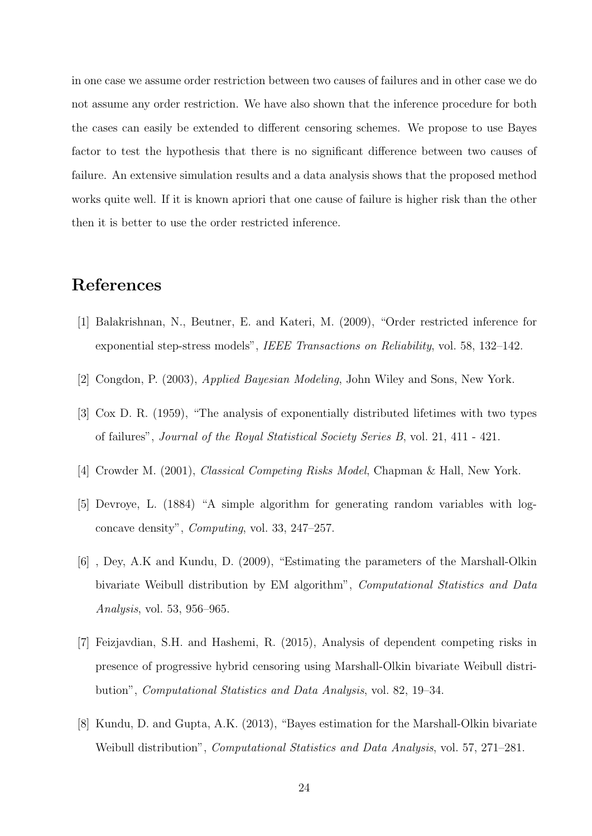in one case we assume order restriction between two causes of failures and in other case we do not assume any order restriction. We have also shown that the inference procedure for both the cases can easily be extended to different censoring schemes. We propose to use Bayes factor to test the hypothesis that there is no significant difference between two causes of failure. An extensive simulation results and a data analysis shows that the proposed method works quite well. If it is known apriori that one cause of failure is higher risk than the other then it is better to use the order restricted inference.

## References

- [1] Balakrishnan, N., Beutner, E. and Kateri, M. (2009), "Order restricted inference for exponential step-stress models", IEEE Transactions on Reliability, vol. 58, 132–142.
- [2] Congdon, P. (2003), Applied Bayesian Modeling, John Wiley and Sons, New York.
- [3] Cox D. R. (1959), "The analysis of exponentially distributed lifetimes with two types of failures", Journal of the Royal Statistical Society Series B, vol. 21, 411 - 421.
- [4] Crowder M. (2001), Classical Competing Risks Model, Chapman & Hall, New York.
- [5] Devroye, L. (1884) "A simple algorithm for generating random variables with logconcave density", Computing, vol. 33, 247–257.
- [6] , Dey, A.K and Kundu, D. (2009), "Estimating the parameters of the Marshall-Olkin bivariate Weibull distribution by EM algorithm", Computational Statistics and Data Analysis, vol. 53, 956–965.
- [7] Feizjavdian, S.H. and Hashemi, R. (2015), Analysis of dependent competing risks in presence of progressive hybrid censoring using Marshall-Olkin bivariate Weibull distribution", Computational Statistics and Data Analysis, vol. 82, 19–34.
- [8] Kundu, D. and Gupta, A.K. (2013), "Bayes estimation for the Marshall-Olkin bivariate Weibull distribution", *Computational Statistics and Data Analysis*, vol. 57, 271–281.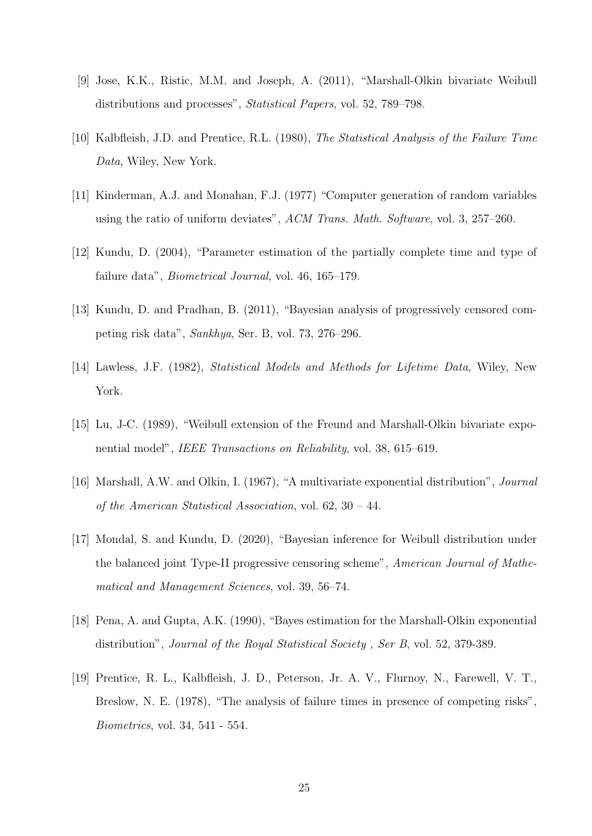- [9] Jose, K.K., Ristic, M.M. and Joseph, A. (2011), "Marshall-Olkin bivariate Weibull distributions and processes", Statistical Papers, vol. 52, 789–798.
- [10] Kalbfleish, J.D. and Prentice, R.L. (1980), The Statistical Analysis of the Failure Time Data, Wiley, New York.
- [11] Kinderman, A.J. and Monahan, F.J. (1977) "Computer generation of random variables using the ratio of uniform deviates", ACM Trans. Math. Software, vol. 3, 257–260.
- [12] Kundu, D. (2004), "Parameter estimation of the partially complete time and type of failure data", Biometrical Journal, vol. 46, 165–179.
- [13] Kundu, D. and Pradhan, B. (2011), "Bayesian analysis of progressively censored competing risk data", Sankhya, Ser. B, vol. 73, 276–296.
- [14] Lawless, J.F. (1982), Statistical Models and Methods for Lifetime Data, Wiley, New York.
- [15] Lu, J-C. (1989), "Weibull extension of the Freund and Marshall-Olkin bivariate exponential model", IEEE Transactions on Reliability, vol. 38, 615–619.
- [16] Marshall, A.W. and Olkin, I. (1967), "A multivariate exponential distribution", Journal of the American Statistical Association, vol. 62, 30 – 44.
- [17] Mondal, S. and Kundu, D. (2020), "Bayesian inference for Weibull distribution under the balanced joint Type-II progressive censoring scheme", American Journal of Mathematical and Management Sciences, vol. 39, 56–74.
- [18] Pena, A. and Gupta, A.K. (1990), "Bayes estimation for the Marshall-Olkin exponential distribution", *Journal of the Royal Statistical Society*, Ser B, vol. 52, 379-389.
- [19] Prentice, R. L., Kalbfleish, J. D., Peterson, Jr. A. V., Flurnoy, N., Farewell, V. T., Breslow, N. E. (1978), "The analysis of failure times in presence of competing risks", Biometrics, vol. 34, 541 - 554.